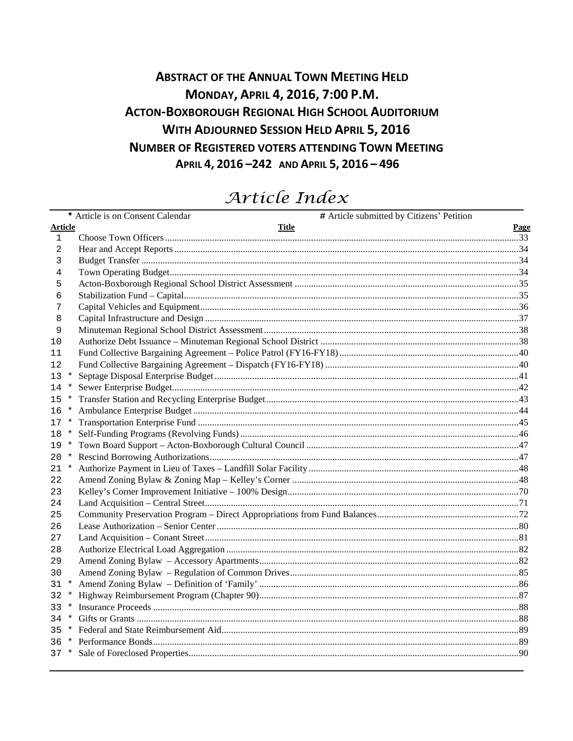## **ABSTRACT OF THE ANNUAL TOWN MEETING HELD** MONDAY, APRIL 4, 2016, 7:00 P.M. **ACTON-BOXBOROUGH REGIONAL HIGH SCHOOL AUDITORIUM WITH ADJOURNED SESSION HELD APRIL 5, 2016 NUMBER OF REGISTERED VOTERS ATTENDING TOWN MEETING** APRIL 4, 2016-242 AND APRIL 5, 2016-496

# Article Index

|                |          | # Article submitted by Citizens' Petition<br>* Article is on Consent Calendar |             |
|----------------|----------|-------------------------------------------------------------------------------|-------------|
| <b>Article</b> |          | Title                                                                         | <b>Page</b> |
| 1              |          |                                                                               |             |
| 2              |          |                                                                               |             |
| 3              |          |                                                                               |             |
| 4              |          |                                                                               |             |
| 5              |          |                                                                               |             |
| 6              |          |                                                                               |             |
| 7              |          |                                                                               |             |
| 8              |          |                                                                               |             |
| 9              |          |                                                                               |             |
| 10             |          |                                                                               |             |
| 11             |          |                                                                               |             |
| 12             |          |                                                                               |             |
| 13             | $\star$  |                                                                               |             |
| 14             | $\star$  |                                                                               |             |
| 15             | $\star$  |                                                                               |             |
| 16             | $\ast$   |                                                                               |             |
| 17             | $^\star$ |                                                                               |             |
| 18             |          |                                                                               |             |
| 19             | $\ast$   |                                                                               |             |
| 20             |          |                                                                               |             |
| 21             | $\ast$   |                                                                               |             |
| 22             |          |                                                                               |             |
| 23             |          |                                                                               |             |
| 24             |          |                                                                               |             |
| 25             |          |                                                                               |             |
| 26             |          |                                                                               |             |
| 27             |          |                                                                               |             |
| 28             |          |                                                                               |             |
| 29             |          |                                                                               |             |
| 30             |          |                                                                               |             |
| 31             |          |                                                                               |             |
| 32             | $\star$  |                                                                               |             |
| 33             |          |                                                                               |             |
| 34             |          |                                                                               |             |
| 35.            |          |                                                                               |             |
|                |          |                                                                               |             |
|                |          |                                                                               |             |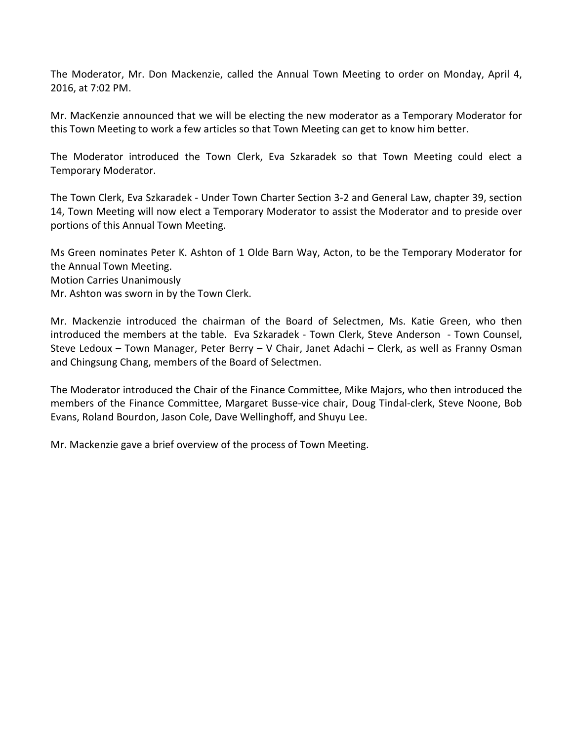The Moderator, Mr. Don Mackenzie, called the Annual Town Meeting to order on Monday, April 4, 2016, at 7:02 PM.

Mr. MacKenzie announced that we will be electing the new moderator as a Temporary Moderator for this Town Meeting to work a few articles so that Town Meeting can get to know him better.

The Moderator introduced the Town Clerk, Eva Szkaradek so that Town Meeting could elect a Temporary Moderator.

The Town Clerk, Eva Szkaradek - Under Town Charter Section 3-2 and General Law, chapter 39, section 14, Town Meeting will now elect a Temporary Moderator to assist the Moderator and to preside over portions of this Annual Town Meeting.

Ms Green nominates Peter K. Ashton of 1 Olde Barn Way, Acton, to be the Temporary Moderator for the Annual Town Meeting. Motion Carries Unanimously

Mr. Ashton was sworn in by the Town Clerk.

Mr. Mackenzie introduced the chairman of the Board of Selectmen, Ms. Katie Green, who then introduced the members at the table. Eva Szkaradek - Town Clerk, Steve Anderson - Town Counsel, Steve Ledoux – Town Manager, Peter Berry – V Chair, Janet Adachi – Clerk, as well as Franny Osman and Chingsung Chang, members of the Board of Selectmen.

The Moderator introduced the Chair of the Finance Committee, Mike Majors, who then introduced the members of the Finance Committee, Margaret Busse-vice chair, Doug Tindal-clerk, Steve Noone, Bob Evans, Roland Bourdon, Jason Cole, Dave Wellinghoff, and Shuyu Lee.

Mr. Mackenzie gave a brief overview of the process of Town Meeting.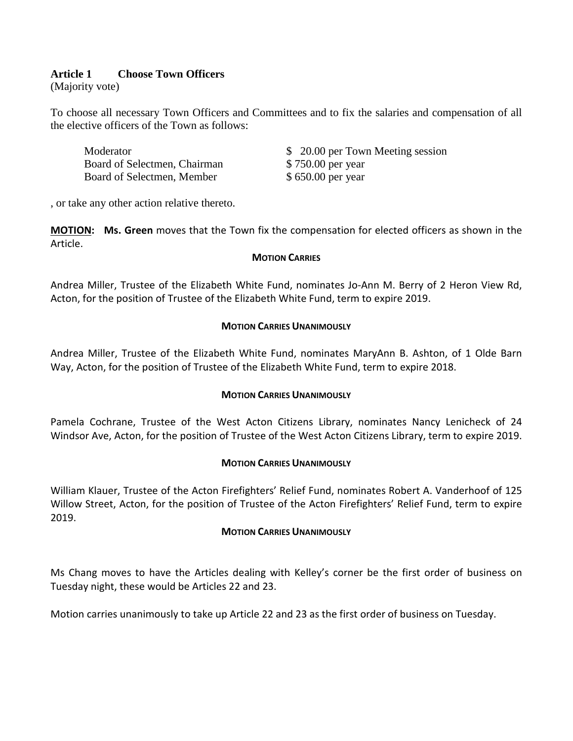## **Article 1 Choose Town Officers**

(Majority vote)

To choose all necessary Town Officers and Committees and to fix the salaries and compensation of all the elective officers of the Town as follows:

| Moderator                    | \$ 20.00 per Town Meeting session |
|------------------------------|-----------------------------------|
| Board of Selectmen, Chairman | \$750.00 per year                 |
| Board of Selectmen, Member   | \$650.00 per year                 |

, or take any other action relative thereto.

**MOTION : Ms. Green** moves that the Town fix the compensation for elected officers as shown in the Article.

#### **MOTION CARRIES**

Andrea Miller, Trustee of the Elizabeth White Fund, nominates Jo-Ann M. Berry of 2 Heron View Rd, Acton, for the position of Trustee of the Elizabeth White Fund, term to expire 2019.

#### **MOTION CARRIES UNANIMOUSLY**

Andrea Miller, Trustee of the Elizabeth White Fund, nominates MaryAnn B. Ashton, of 1 Olde Barn Way, Acton, for the position of Trustee of the Elizabeth White Fund, term to expire 2018.

#### **MOTION CARRIES UNANIMOUSLY**

Pamela Cochrane, Trustee of the West Acton Citizens Library, nominates Nancy Lenicheck of 24 Windsor Ave, Acton, for the position of Trustee of the West Acton Citizens Library, term to expire 2019.

#### **MOTION CARRIES UNANIMOUSLY**

William Klauer, Trustee of the Acton Firefighters' Relief Fund, nominates Robert A. Vanderhoof of 125 Willow Street, Acton, for the position of Trustee of the Acton Firefighters' Relief Fund, term to expire 2019.

#### **MOTION CARRIES UNANIMOUSLY**

Ms Chang moves to have the Articles dealing with Kelley's corner be the first order of business on Tuesday night, these would be Articles 22 and 23.

Motion carries unanimously to take up Article 22 and 23 as the first order of business on Tuesday.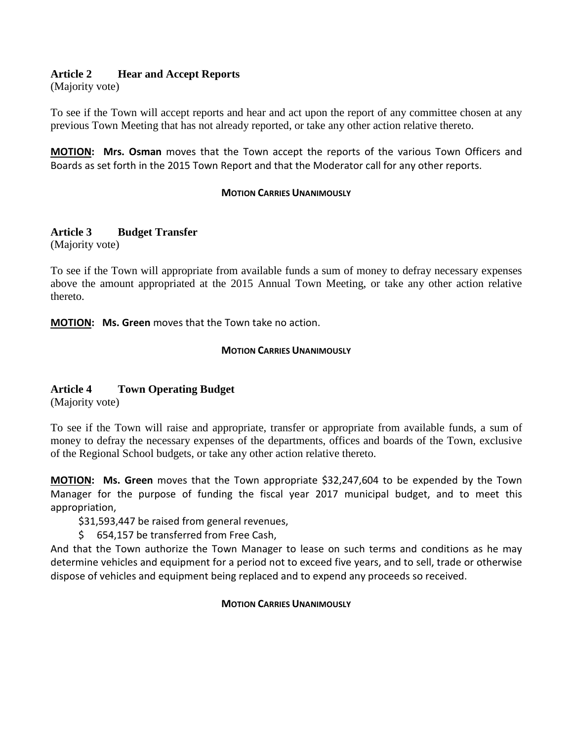## **Article 2 Hear and Accept Reports**

(Majority vote)

To see if the Town will accept reports and hear and act upon the report of any committee chosen at any previous Town Meeting that has not already reported, or take any other action relative thereto.

**MOTION: Mrs. Osman** moves that the Town accept the reports of the various Town Officers and Boards as set forth in the 2015 Town Report and that the Moderator call for any other reports.

#### **MOTION CARRIES UNANIMOUSLY**

## **Article 3 Budget Transfer**

(Majority vote)

To see if the Town will appropriate from available funds a sum of money to defray necessary expenses above the amount appropriated at the 2015 Annual Town Meeting, or take any other action relative thereto.

**MOTION: Ms. Green** moves that the Town take no action.

#### **MOTION CARRIES UNANIMOUSLY**

## **Article 4 Town Operating Budget**

(Majority vote)

To see if the Town will raise and appropriate, transfer or appropriate from available funds, a sum of money to defray the necessary expenses of the departments, offices and boards of the Town, exclusive of the Regional School budgets, or take any other action relative thereto.

**MOTION : Ms. Green** moves that the Town appropriate \$32,247,604 to be expended by the Town Manager for the purpose of funding the fiscal year 2017 municipal budget, and to meet this appropriation,

\$31,593,447 be raised from general revenues,

\$ 654,157 be transferred from Free Cash,

And that the Town authorize the Town Manager to lease on such terms and conditions as he may determine vehicles and equipment for a period not to exceed five years, and to sell, trade or otherwise dispose of vehicles and equipment being replaced and to expend any proceeds so received.

#### **MOTION CARRIES UNANIMOUSLY**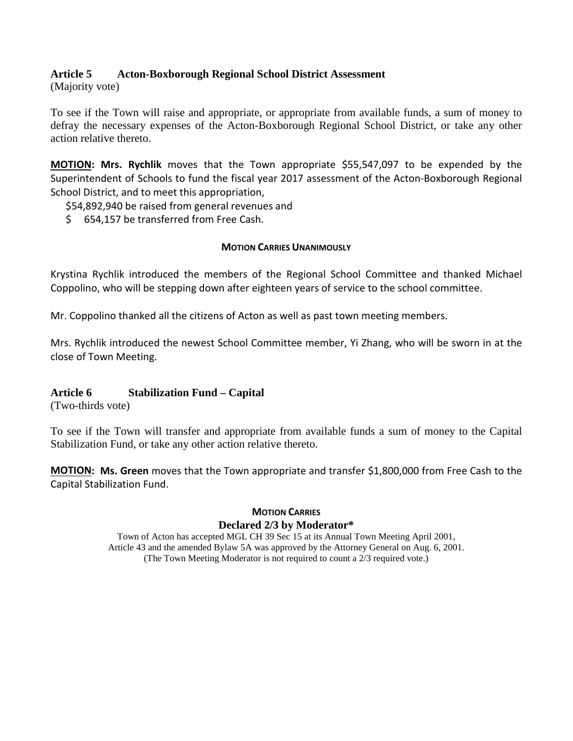### **Article 5 Acton-Boxborough Regional School District Assessment**

(Majority vote)

To see if the Town will raise and appropriate, or appropriate from available funds, a sum of money to defray the necessary expenses of the Acton-Boxborough Regional School District, or take any other action relative thereto.

**MOTION : Mrs. Rychlik** moves that the Town appropriate \$55,547,097 to be expended by the Superintendent of Schools to fund the fiscal year 2017 assessment of the Acton-Boxborough Regional School District, and to meet this appropriation,

\$54,892,940 be raised from general revenues and

\$ 654,157 be transferred from Free Cash.

#### **MOTION CARRIES UNANIMOUSLY**

Krystina Rychlik introduced the members of the Regional School Committee and thanked Michael Coppolino, who will be stepping down after eighteen years of service to the school committee.

Mr. Coppolino thanked all the citizens of Acton as well as past town meeting members.

Mrs. Rychlik introduced the newest School Committee member, Yi Zhang, who will be sworn in at the close of Town Meeting.

#### **Article 6 Stabilization Fund – Capital**

(Two-thirds vote)

To see if the Town will transfer and appropriate from available funds a sum of money to the Capital Stabilization Fund, or take any other action relative thereto.

**MOTION: Ms. Green** moves that the Town appropriate and transfer \$1,800,000 from Free Cash to the Capital Stabilization Fund.

### **MOTION CARRIES Declared 2/3 by Moderator\***

Town of Acton has accepted MGL CH 39 Sec 15 at its Annual Town Meeting April 2001, Article 43 and the amended Bylaw 5A was approved by the Attorney General on Aug. 6, 2001. (The Town Meeting Moderator is not required to count a 2/3 required vote.)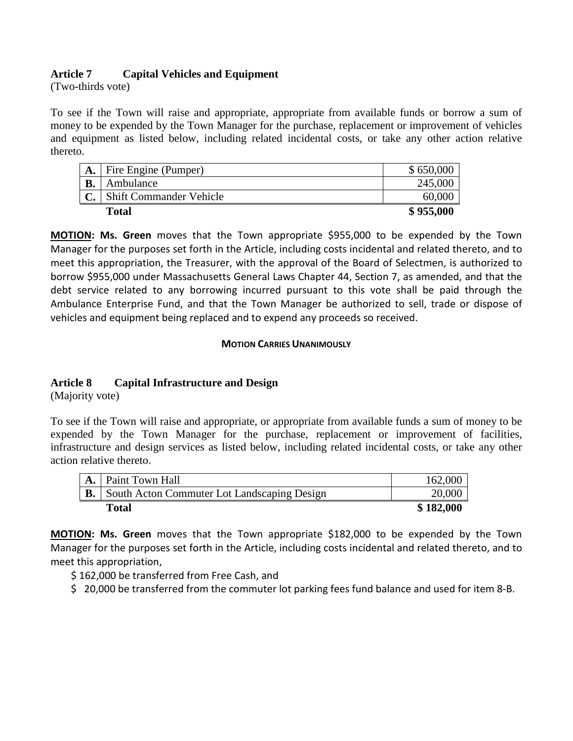## **Article 7 Capital Vehicles and Equipment**

(Two-thirds vote)

To see if the Town will raise and appropriate, appropriate from available funds or borrow a sum of money to be expended by the Town Manager for the purchase, replacement or improvement of vehicles and equipment as listed below, including related incidental costs, or take any other action relative thereto.

| A.        | Fire Engine (Pumper)           | \$650,000 |
|-----------|--------------------------------|-----------|
| <b>B.</b> | Ambulance                      | 245,000   |
| J.        | <b>Shift Commander Vehicle</b> | 60,000    |
|           | <b>Total</b>                   | \$955,000 |

**MOTION: Ms. Green** moves that the Town appropriate \$955,000 to be expended by the Town Manager for the purposes set forth in the Article, including costs incidental and related thereto, and to meet this appropriation, the Treasurer, with the approval of the Board of Selectmen, is authorized to borrow \$955,000 under Massachusetts General Laws Chapter 44, Section 7, as amended, and that the debt service related to any borrowing incurred pursuant to this vote shall be paid through the Ambulance Enterprise Fund, and that the Town Manager be authorized to sell, trade or dispose of vehicles and equipment being replaced and to expend any proceeds so received.

#### **MOTION CARRIES UNANIMOUSLY**

## **Article 8 Capital Infrastructure and Design**

(Majority vote)

To see if the Town will raise and appropriate, or appropriate from available funds a sum of money to be expended by the Town Manager for the purchase, replacement or improvement of facilities, infrastructure and design services as listed below, including related incidental costs, or take any other action relative thereto.

| Paint Town Hall                             | 162,000   |
|---------------------------------------------|-----------|
| South Acton Commuter Lot Landscaping Design | 20,000    |
| Total                                       | \$182,000 |

**MOTION : Ms. Green** moves that the Town appropriate \$182,000 to be expended by the Town Manager for the purposes set forth in the Article, including costs incidental and related thereto, and to meet this appropriation,

\$ 162,000 be transferred from Free Cash, and

\$ 20,000 be transferred from the commuter lot parking fees fund balance and used for item 8-B.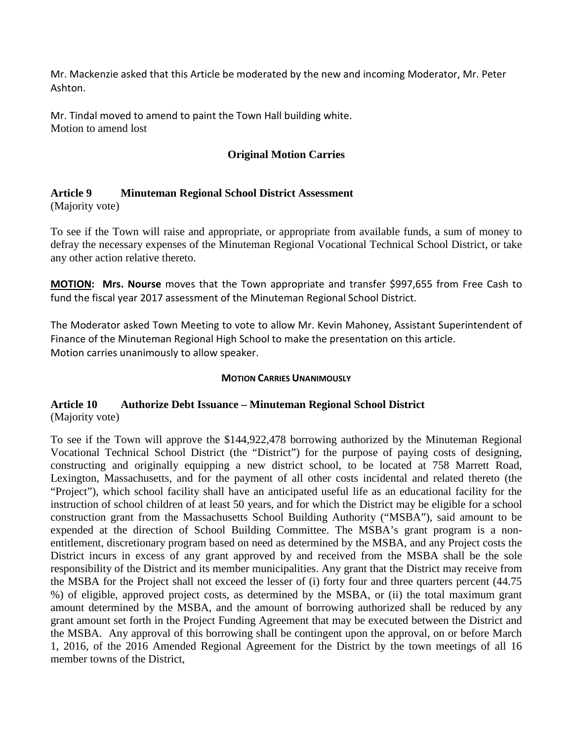Mr. Mackenzie asked that this Article be moderated by the new and incoming Moderator, Mr. Peter Ashton.

Mr. Tindal moved to amend to paint the Town Hall building white. Motion to amend lost

## **Original Motion Carries**

### **Article 9 Minuteman Regional School District Assessment**

(Majority vote)

To see if the Town will raise and appropriate, or appropriate from available funds, a sum of money to defray the necessary expenses of the Minuteman Regional Vocational Technical School District, or take any other action relative thereto.

**MOTION: Mrs. Nourse** moves that the Town appropriate and transfer \$997,655 from Free Cash to fund the fiscal year 2017 assessment of the Minuteman Regional School District.

The Moderator asked Town Meeting to vote to allow Mr. Kevin Mahoney, Assistant Superintendent of Finance of the Minuteman Regional High School to make the presentation on this article. Motion carries unanimously to allow speaker.

#### **MOTION CARRIES UNANIMOUSLY**

## **Article 10 Authorize Debt Issuance – Minuteman Regional School District** (Majority vote)

To see if the Town will approve the \$144,922,478 borrowing authorized by the Minuteman Regional Vocational Technical School District (the "District") for the purpose of paying costs of designing, constructing and originally equipping a new district school, to be located at 758 Marrett Road, Lexington, Massachusetts, and for the payment of all other costs incidental and related thereto (the "Project"), which school facility shall have an anticipated useful life as an educational facility for the instruction of school children of at least 50 years, and for which the District may be eligible for a school construction grant from the Massachusetts School Building Authority ("MSBA"), said amount to be expended at the direction of School Building Committee. The MSBA's grant program is a nonentitlement, discretionary program based on need as determined by the MSBA, and any Project costs the District incurs in excess of any grant approved by and received from the MSBA shall be the sole responsibility of the District and its member municipalities. Any grant that the District may receive from the MSBA for the Project shall not exceed the lesser of (i) forty four and three quarters percent (44.75 %) of eligible, approved project costs, as determined by the MSBA, or (ii) the total maximum grant amount determined by the MSBA, and the amount of borrowing authorized shall be reduced by any grant amount set forth in the Project Funding Agreement that may be executed between the District and the MSBA. Any approval of this borrowing shall be contingent upon the approval, on or before March 1, 2016, of the 2016 Amended Regional Agreement for the District by the town meetings of all 16 member towns of the District,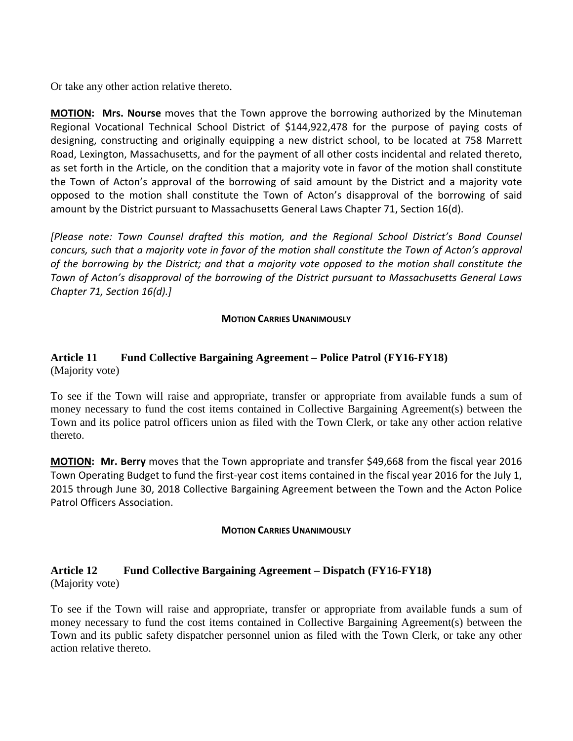Or take any other action relative thereto.

**MOTION: Mrs. Nourse** moves that the Town approve the borrowing authorized by the Minuteman Regional Vocational Technical School District of \$144,922,478 for the purpose of paying costs of designing, constructing and originally equipping a new district school, to be located at 758 Marrett Road, Lexington, Massachusetts, and for the payment of all other costs incidental and related thereto, as set forth in the Article, on the condition that a majority vote in favor of the motion shall constitute the Town of Acton's approval of the borrowing of said amount by the District and a majority vote opposed to the motion shall constitute the Town of Acton's disapproval of the borrowing of said amount by the District pursuant to Massachusetts General Laws Chapter 71, Section 16(d).

*[Please note: Town Counsel drafted this motion, and the Regional School District's Bond Counsel concurs, such that a majority vote in favor of the motion shall constitute the Town of Acton's approval of the borrowing by the District; and that a majority vote opposed to the motion shall constitute the Town of Acton's disapproval of the borrowing of the District pursuant to Massachusetts General Laws Chapter 71, Section 16(d).]*

#### **MOTION CARRIES UNANIMOUSLY**

## **Article 11 Fund Collective Bargaining Agreement – Police Patrol (FY16-FY18)** (Majority vote)

To see if the Town will raise and appropriate, transfer or appropriate from available funds a sum of money necessary to fund the cost items contained in Collective Bargaining Agreement(s) between the Town and its police patrol officers union as filed with the Town Clerk, or take any other action relative thereto.

**MOTION: Mr. Berry** moves that the Town appropriate and transfer \$49,668 from the fiscal year 2016 Town Operating Budget to fund the first-year cost items contained in the fiscal year 2016 for the July 1, 2015 through June 30, 2018 Collective Bargaining Agreement between the Town and the Acton Police Patrol Officers Association.

#### **MOTION CARRIES UNANIMOUSLY**

### **Article 12 Fund Collective Bargaining Agreement – Dispatch (FY16-FY18)** (Majority vote)

To see if the Town will raise and appropriate, transfer or appropriate from available funds a sum of money necessary to fund the cost items contained in Collective Bargaining Agreement(s) between the Town and its public safety dispatcher personnel union as filed with the Town Clerk, or take any other action relative thereto.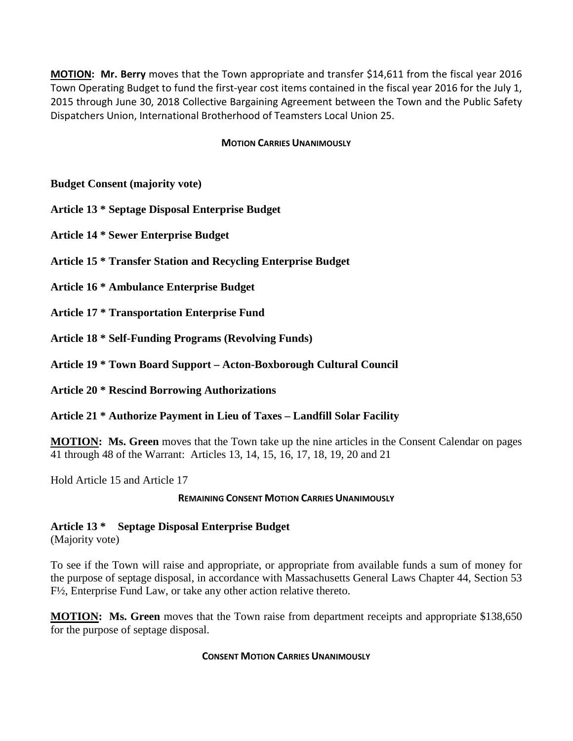**MOTION: Mr. Berry** moves that the Town appropriate and transfer \$14,611 from the fiscal year 2016 Town Operating Budget to fund the first-year cost items contained in the fiscal year 2016 for the July 1, 2015 through June 30, 2018 Collective Bargaining Agreement between the Town and the Public Safety Dispatchers Union, International Brotherhood of Teamsters Local Union 25.

#### **MOTION CARRIES UNANIMOUSLY**

**Budget Consent (majority vote)**

**Article 13 \* Septage Disposal Enterprise Budget**

**Article 14 \* Sewer Enterprise Budget**

**Article 15 \* Transfer Station and Recycling Enterprise Budget**

**Article 16 \* Ambulance Enterprise Budget**

**Article 17 \* Transportation Enterprise Fund**

**Article 18 \* Self-Funding Programs (Revolving Funds)**

**Article 19 \* Town Board Support – Acton-Boxborough Cultural Council**

**Article 20 \* Rescind Borrowing Authorizations**

**Article 21 \* Authorize Payment in Lieu of Taxes – Landfill Solar Facility**

**MOTION: Ms. Green** moves that the Town take up the nine articles in the Consent Calendar on pages 41 through 48 of the Warrant: Articles 13, 14, 15, 16, 17, 18, 19, 20 and 21

Hold Article 15 and Article 17

#### **REMAINING CONSENT MOTION CARRIES UNANIMOUSLY**

**Article 13 \* Septage Disposal Enterprise Budget**

(Majority vote)

To see if the Town will raise and appropriate, or appropriate from available funds a sum of money for the purpose of septage disposal, in accordance with Massachusetts General Laws Chapter 44, Section 53 F½, Enterprise Fund Law, or take any other action relative thereto.

**MOTION: Ms. Green** moves that the Town raise from department receipts and appropriate \$138,650 for the purpose of septage disposal.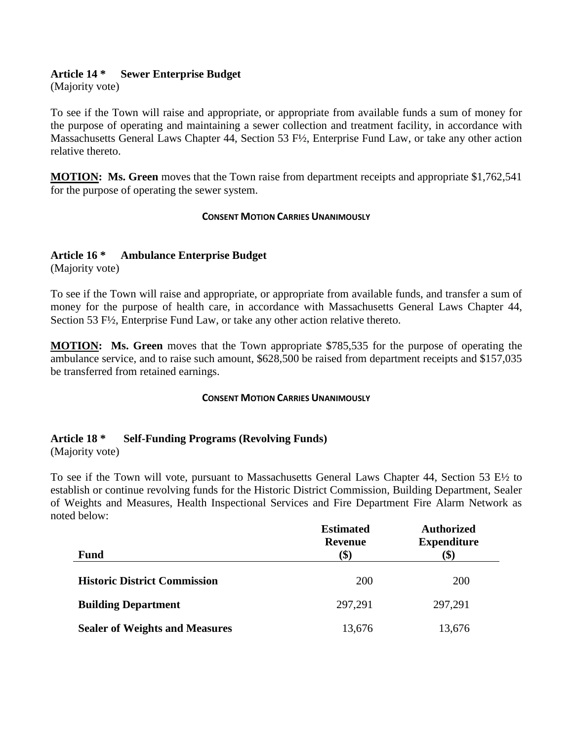## **Article 14 \* Sewer Enterprise Budget**

(Majority vote)

To see if the Town will raise and appropriate, or appropriate from available funds a sum of money for the purpose of operating and maintaining a sewer collection and treatment facility, in accordance with Massachusetts General Laws Chapter 44, Section 53 F½, Enterprise Fund Law, or take any other action relative thereto.

**MOTION: Ms. Green** moves that the Town raise from department receipts and appropriate \$1,762,541 for the purpose of operating the sewer system.

#### **CONSENT MOTION CARRIES UNANIMOUSLY**

### **Article 16 \* Ambulance Enterprise Budget**

(Majority vote)

To see if the Town will raise and appropriate, or appropriate from available funds, and transfer a sum of money for the purpose of health care, in accordance with Massachusetts General Laws Chapter 44, Section 53 F½, Enterprise Fund Law, or take any other action relative thereto.

**MOTION: Ms. Green** moves that the Town appropriate \$785,535 for the purpose of operating the ambulance service, and to raise such amount, \$628,500 be raised from department receipts and \$157,035 be transferred from retained earnings.

#### **CONSENT MOTION CARRIES UNANIMOUSLY**

## **Article 18 \* Self-Funding Programs (Revolving Funds)**

(Majority vote)

To see if the Town will vote, pursuant to Massachusetts General Laws Chapter 44, Section 53 E½ to establish or continue revolving funds for the Historic District Commission, Building Department, Sealer of Weights and Measures, Health Inspectional Services and Fire Department Fire Alarm Network as noted below:

|                                       | <b>Estimated</b><br><b>Revenue</b> | <b>Authorized</b><br><b>Expenditure</b> |
|---------------------------------------|------------------------------------|-----------------------------------------|
| <b>Fund</b>                           | $\left( \text{\$}\right)$          | \$                                      |
| <b>Historic District Commission</b>   | 200                                | <b>200</b>                              |
| <b>Building Department</b>            | 297,291                            | 297,291                                 |
| <b>Sealer of Weights and Measures</b> | 13,676                             | 13,676                                  |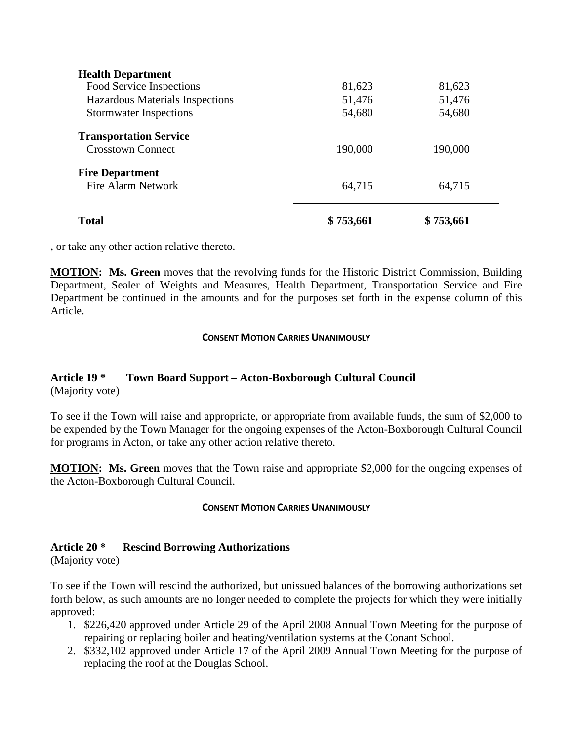, or take any other action relative thereto.

**MOTION: Ms. Green** moves that the revolving funds for the Historic District Commission, Building Department, Sealer of Weights and Measures, Health Department, Transportation Service and Fire Department be continued in the amounts and for the purposes set forth in the expense column of this Article.

#### **CONSENT MOTION CARRIES UNANIMOUSLY**

### **Article 19 \* Town Board Support – Acton-Boxborough Cultural Council** (Majority vote)

To see if the Town will raise and appropriate, or appropriate from available funds, the sum of \$2,000 to be expended by the Town Manager for the ongoing expenses of the Acton-Boxborough Cultural Council for programs in Acton, or take any other action relative thereto.

**MOTION: Ms. Green** moves that the Town raise and appropriate \$2,000 for the ongoing expenses of the Acton-Boxborough Cultural Council.

#### **CONSENT MOTION CARRIES UNANIMOUSLY**

## **Article 20 \* Rescind Borrowing Authorizations**

(Majority vote)

To see if the Town will rescind the authorized, but unissued balances of the borrowing authorizations set forth below, as such amounts are no longer needed to complete the projects for which they were initially approved:

- 1. \$226,420 approved under Article 29 of the April 2008 Annual Town Meeting for the purpose of repairing or replacing boiler and heating/ventilation systems at the Conant School.
- 2. \$332,102 approved under Article 17 of the April 2009 Annual Town Meeting for the purpose of replacing the roof at the Douglas School.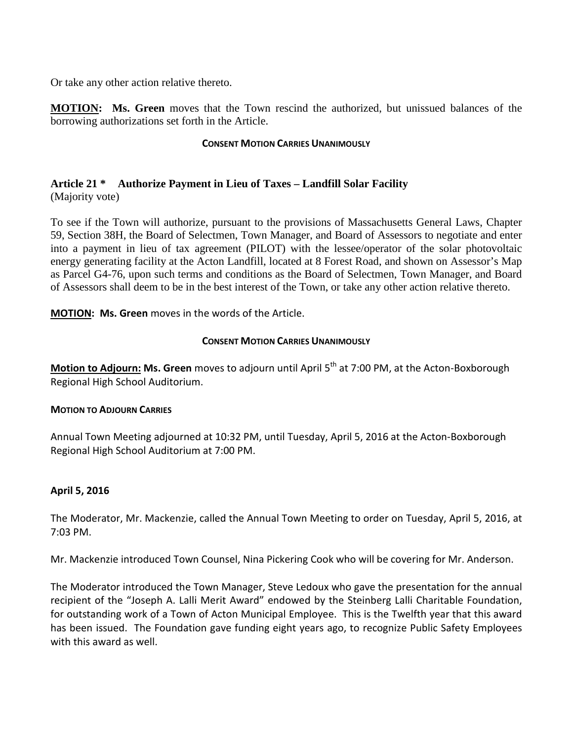Or take any other action relative thereto.

**MOTION: Ms. Green** moves that the Town rescind the authorized, but unissued balances of the borrowing authorizations set forth in the Article.

#### **CONSENT MOTION CARRIES UNANIMOUSLY**

#### **Article 21 \* Authorize Payment in Lieu of Taxes – Landfill Solar Facility** (Majority vote)

To see if the Town will authorize, pursuant to the provisions of Massachusetts General Laws, Chapter 59, Section 38H, the Board of Selectmen, Town Manager, and Board of Assessors to negotiate and enter into a payment in lieu of tax agreement (PILOT) with the lessee/operator of the solar photovoltaic energy generating facility at the Acton Landfill, located at 8 Forest Road, and shown on Assessor's Map as Parcel G4-76, upon such terms and conditions as the Board of Selectmen, Town Manager, and Board of Assessors shall deem to be in the best interest of the Town, or take any other action relative thereto.

**MOTION: Ms. Green** moves in the words of the Article.

### **CONSENT MOTION CARRIES UNANIMOUSLY**

**Motion to Adjourn: Ms. Green** moves to adjourn until April 5<sup>th</sup> at 7:00 PM, at the Acton-Boxborough Regional High School Auditorium.

#### **MOTION TO ADJOURN CARRIES**

Annual Town Meeting adjourned at 10:32 PM, until Tuesday, April 5, 2016 at the Acton-Boxborough Regional High School Auditorium at 7:00 PM.

## **April 5, 2016**

The Moderator, Mr. Mackenzie, called the Annual Town Meeting to order on Tuesday, April 5, 2016, at 7:03 PM.

Mr. Mackenzie introduced Town Counsel, Nina Pickering Cook who will be covering for Mr. Anderson.

The Moderator introduced the Town Manager, Steve Ledoux who gave the presentation for the annual recipient of the "Joseph A. Lalli Merit Award" endowed by the Steinberg Lalli Charitable Foundation, for outstanding work of a Town of Acton Municipal Employee. This is the Twelfth year that this award has been issued. The Foundation gave funding eight years ago, to recognize Public Safety Employees with this award as well.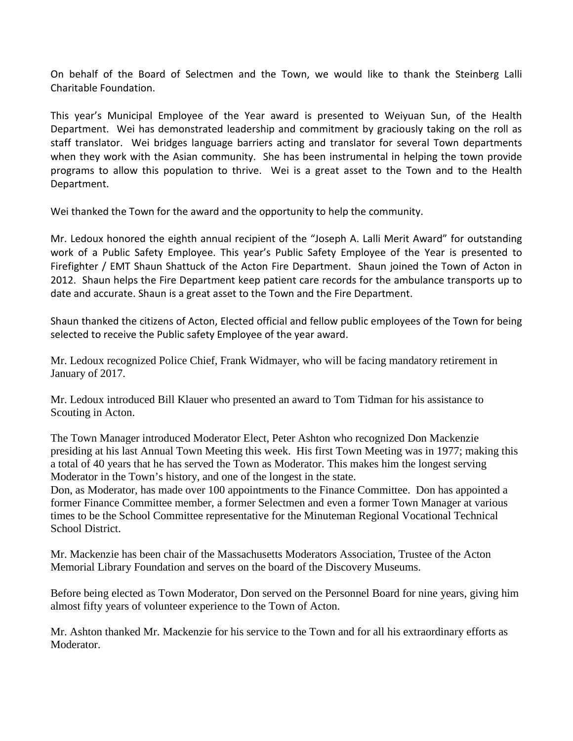On behalf of the Board of Selectmen and the Town, we would like to thank the Steinberg Lalli Charitable Foundation.

This year's Municipal Employee of the Year award is presented to Weiyuan Sun, of the Health Department. Wei has demonstrated leadership and commitment by graciously taking on the roll as staff translator. Wei bridges language barriers acting and translator for several Town departments when they work with the Asian community. She has been instrumental in helping the town provide programs to allow this population to thrive. Wei is a great asset to the Town and to the Health Department.

Wei thanked the Town for the award and the opportunity to help the community.

Mr. Ledoux honored the eighth annual recipient of the "Joseph A. Lalli Merit Award" for outstanding work of a Public Safety Employee. This year's Public Safety Employee of the Year is presented to Firefighter / EMT Shaun Shattuck of the Acton Fire Department. Shaun joined the Town of Acton in 2012. Shaun helps the Fire Department keep patient care records for the ambulance transports up to date and accurate. Shaun is a great asset to the Town and the Fire Department.

Shaun thanked the citizens of Acton, Elected official and fellow public employees of the Town for being selected to receive the Public safety Employee of the year award.

Mr. Ledoux recognized Police Chief, Frank Widmayer, who will be facing mandatory retirement in January of 2017.

Mr. Ledoux introduced Bill Klauer who presented an award to Tom Tidman for his assistance to Scouting in Acton.

The Town Manager introduced Moderator Elect, Peter Ashton who recognized Don Mackenzie presiding at his last Annual Town Meeting this week. His first Town Meeting was in 1977; making this a total of 40 years that he has served the Town as Moderator. This makes him the longest serving Moderator in the Town's history, and one of the longest in the state.

Don, as Moderator, has made over 100 appointments to the Finance Committee. Don has appointed a former Finance Committee member, a former Selectmen and even a former Town Manager at various times to be the School Committee representative for the Minuteman Regional Vocational Technical School District.

Mr. Mackenzie has been chair of the Massachusetts Moderators Association, Trustee of the Acton Memorial Library Foundation and serves on the board of the Discovery Museums.

Before being elected as Town Moderator, Don served on the Personnel Board for nine years, giving him almost fifty years of volunteer experience to the Town of Acton.

Mr. Ashton thanked Mr. Mackenzie for his service to the Town and for all his extraordinary efforts as Moderator.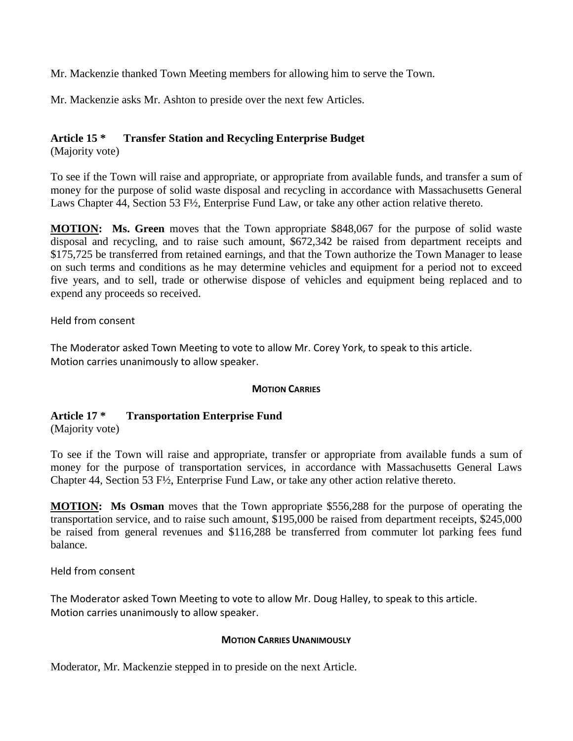Mr. Mackenzie thanked Town Meeting members for allowing him to serve the Town.

Mr. Mackenzie asks Mr. Ashton to preside over the next few Articles.

## **Article 15 \* Transfer Station and Recycling Enterprise Budget**

(Majority vote)

To see if the Town will raise and appropriate, or appropriate from available funds, and transfer a sum of money for the purpose of solid waste disposal and recycling in accordance with Massachusetts General Laws Chapter 44, Section 53 F½, Enterprise Fund Law, or take any other action relative thereto.

**MOTION: Ms. Green** moves that the Town appropriate \$848,067 for the purpose of solid waste disposal and recycling, and to raise such amount, \$672,342 be raised from department receipts and \$175,725 be transferred from retained earnings, and that the Town authorize the Town Manager to lease on such terms and conditions as he may determine vehicles and equipment for a period not to exceed five years, and to sell, trade or otherwise dispose of vehicles and equipment being replaced and to expend any proceeds so received.

Held from consent

The Moderator asked Town Meeting to vote to allow Mr. Corey York, to speak to this article. Motion carries unanimously to allow speaker.

#### **MOTION CARRIES**

#### **Article 17 \* Transportation Enterprise Fund** (Majority vote)

To see if the Town will raise and appropriate, transfer or appropriate from available funds a sum of money for the purpose of transportation services, in accordance with Massachusetts General Laws Chapter 44, Section 53 F½, Enterprise Fund Law, or take any other action relative thereto.

**MOTION: Ms Osman** moves that the Town appropriate \$556,288 for the purpose of operating the transportation service, and to raise such amount, \$195,000 be raised from department receipts, \$245,000 be raised from general revenues and \$116,288 be transferred from commuter lot parking fees fund balance.

Held from consent

The Moderator asked Town Meeting to vote to allow Mr. Doug Halley, to speak to this article. Motion carries unanimously to allow speaker.

#### **MOTION CARRIES UNANIMOUSLY**

Moderator, Mr. Mackenzie stepped in to preside on the next Article.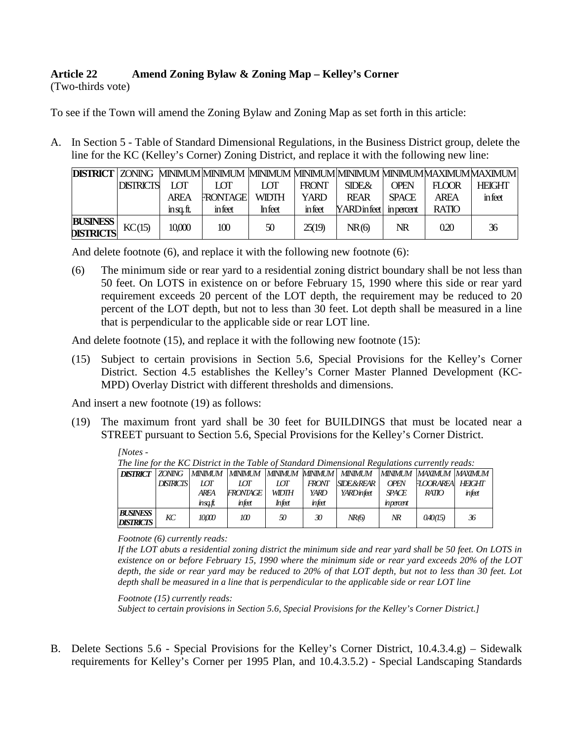## **Article 22 Amend Zoning Bylaw & Zoning Map – Kelley's Corner**

(Two-thirds vote)

To see if the Town will amend the Zoning Bylaw and Zoning Map as set forth in this article:

A. In Section 5 - Table of Standard Dimensional Regulations, in the Business District group, delete the line for the KC (Kelley's Corner) Zoning District, and replace it with the following new line:

|                                     |                  |             |                |               |              |                         |              |              | DISTRICT   ZONING MINIMUM MINIMUM  MINIMUM MINIMUM MINIMUM MINIMUMMAXIMUM MAXIMUM |
|-------------------------------------|------------------|-------------|----------------|---------------|--------------|-------------------------|--------------|--------------|-----------------------------------------------------------------------------------|
|                                     | <b>DISTRICTS</b> | I OT        | I OT           | I OT          | <b>FRONT</b> | SIDE&                   | OPEN         | $H$ OOR      | <b>HEIGHT</b>                                                                     |
|                                     |                  | <b>ARFA</b> | <b>RONTAGE</b> | <b>WIDTH</b>  | <b>YARD</b>  | <b>RFAR</b>             | <b>SPACE</b> | <b>AREA</b>  | infect                                                                            |
|                                     |                  | insa.ft.    | infect         | <b>Infect</b> | infect       | YARD in feet in percent |              | <b>RATIO</b> |                                                                                   |
| <b>BUSINESS</b><br><b>DISTRICTS</b> | KC(15)           | 10,000      | 100            | 50            | 25(19)       | NR(6)                   | NR           | 0.20         | 36                                                                                |

And delete footnote (6), and replace it with the following new footnote (6):

(6) The minimum side or rear yard to a residential zoning district boundary shall be not less than 50 feet. On LOTS in existence on or before February 15, 1990 where this side or rear yard requirement exceeds 20 percent of the LOT depth, the requirement may be reduced to 20 percent of the LOT depth, but not to less than 30 feet. Lot depth shall be measured in a line that is perpendicular to the applicable side or rear LOT line.

And delete footnote (15), and replace it with the following new footnote (15):

(15) Subject to certain provisions in Section 5.6, Special Provisions for the Kelley's Corner District. Section 4.5 establishes the Kelley's Corner Master Planned Development (KC-MPD) Overlay District with different thresholds and dimensions.

And insert a new footnote (19) as follows:

*[Notes -*

(19) The maximum front yard shall be 30 feet for BUILDINGS that must be located near a STREET pursuant to Section 5.6, Special Provisions for the Kelley's Corner District.

| The line for the KC District in the Table of Standard Dimensional Regulations currently reads: |                  |             |                  |                |        |                        |                          |                           |        |
|------------------------------------------------------------------------------------------------|------------------|-------------|------------------|----------------|--------|------------------------|--------------------------|---------------------------|--------|
| <b>DISTRICT</b>                                                                                | <b>ZONING</b>    | MINIMUM     | <b>MINIMUM</b>   | <b>MINIMUM</b> |        | MINIMUM   MINIMUM      |                          | MINIMUM MAXIMUM MAXIMUM I |        |
|                                                                                                | <b>DISTRICTS</b> | ЮT          | ЮT               | IОТ            | FRONT  | <b>SIDE &amp; REAR</b> | <b>OPEN</b>              | <b>TOORAREA HEIGHT</b>    |        |
|                                                                                                |                  | <b>ARFA</b> | FRONTAGE         | <b>WIDTH</b>   | YARD   | YARDinfeet             | <b>SPACE</b>             | <b>RATIO</b>              | infeet |
|                                                                                                |                  | $insa$ ft.  | infeet           | Infeet         | infeet |                        | inpercent                |                           |        |
| <b>BUSINESS</b><br><b>DISTRICTS</b>                                                            | KС               | 10000       | 100 <sup>2</sup> | 50             | 30     | NR(6)                  | $\overline{\mathcal{M}}$ | 0.40(15)                  | 36     |

*The line for the KC District in the Table of Standard Dimensional Regulations currently reads:*

*Footnote (6) currently reads:*

*If the LOT abuts a residential zoning district the minimum side and rear yard shall be 50 feet. On LOTS in existence on or before February 15, 1990 where the minimum side or rear yard exceeds 20% of the LOT depth, the side or rear yard may be reduced to 20% of that LOT depth, but not to less than 30 feet. Lot depth shall be measured in a line that is perpendicular to the applicable side or rear LOT line* 

*Footnote (15) currently reads: Subject to certain provisions in Section 5.6, Special Provisions for the Kelley's Corner District.]*

B. Delete Sections 5.6 - Special Provisions for the Kelley's Corner District, 10.4.3.4.g) – Sidewalk requirements for Kelley's Corner per 1995 Plan, and 10.4.3.5.2) - Special Landscaping Standards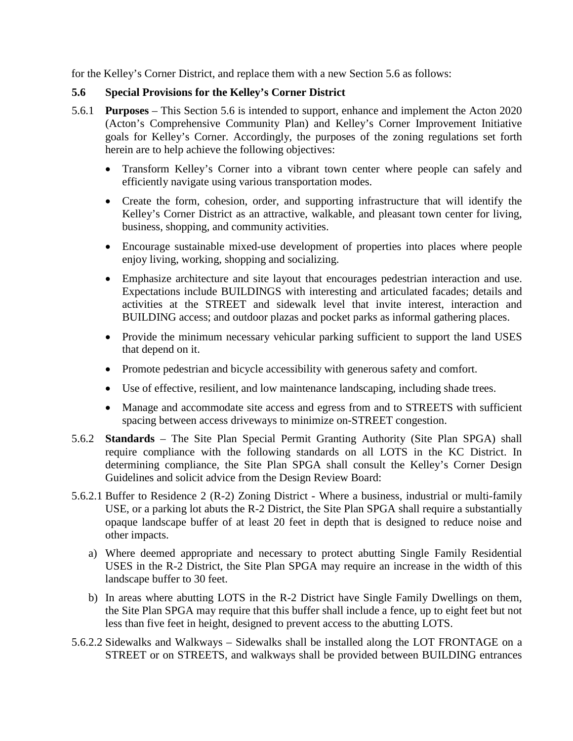for the Kelley's Corner District, and replace them with a new Section 5.6 as follows:

## **5.6 Special Provisions for the Kelley's Corner District**

- 5.6.1 **Purposes** This Section 5.6 is intended to support, enhance and implement the Acton 2020 (Acton's Comprehensive Community Plan) and Kelley's Corner Improvement Initiative goals for Kelley's Corner. Accordingly, the purposes of the zoning regulations set forth herein are to help achieve the following objectives:
	- Transform Kelley's Corner into a vibrant town center where people can safely and efficiently navigate using various transportation modes.
	- Create the form, cohesion, order, and supporting infrastructure that will identify the Kelley's Corner District as an attractive, walkable, and pleasant town center for living, business, shopping, and community activities.
	- Encourage sustainable mixed-use development of properties into places where people enjoy living, working, shopping and socializing.
	- Emphasize architecture and site layout that encourages pedestrian interaction and use. Expectations include BUILDINGS with interesting and articulated facades; details and activities at the STREET and sidewalk level that invite interest, interaction and BUILDING access; and outdoor plazas and pocket parks as informal gathering places.
	- Provide the minimum necessary vehicular parking sufficient to support the land USES that depend on it.
	- Promote pedestrian and bicycle accessibility with generous safety and comfort.
	- Use of effective, resilient, and low maintenance landscaping, including shade trees.
	- Manage and accommodate site access and egress from and to STREETS with sufficient spacing between access driveways to minimize on-STREET congestion.
- 5.6.2 **Standards**  The Site Plan Special Permit Granting Authority (Site Plan SPGA) shall require compliance with the following standards on all LOTS in the KC District. In determining compliance, the Site Plan SPGA shall consult the Kelley's Corner Design Guidelines and solicit advice from the Design Review Board:
- 5.6.2.1 Buffer to Residence 2 (R-2) Zoning District Where a business, industrial or multi-family USE, or a parking lot abuts the R-2 District, the Site Plan SPGA shall require a substantially opaque landscape buffer of at least 20 feet in depth that is designed to reduce noise and other impacts.
	- a) Where deemed appropriate and necessary to protect abutting Single Family Residential USES in the R-2 District, the Site Plan SPGA may require an increase in the width of this landscape buffer to 30 feet.
	- b) In areas where abutting LOTS in the R-2 District have Single Family Dwellings on them, the Site Plan SPGA may require that this buffer shall include a fence, up to eight feet but not less than five feet in height, designed to prevent access to the abutting LOTS.
- 5.6.2.2 Sidewalks and Walkways Sidewalks shall be installed along the LOT FRONTAGE on a STREET or on STREETS, and walkways shall be provided between BUILDING entrances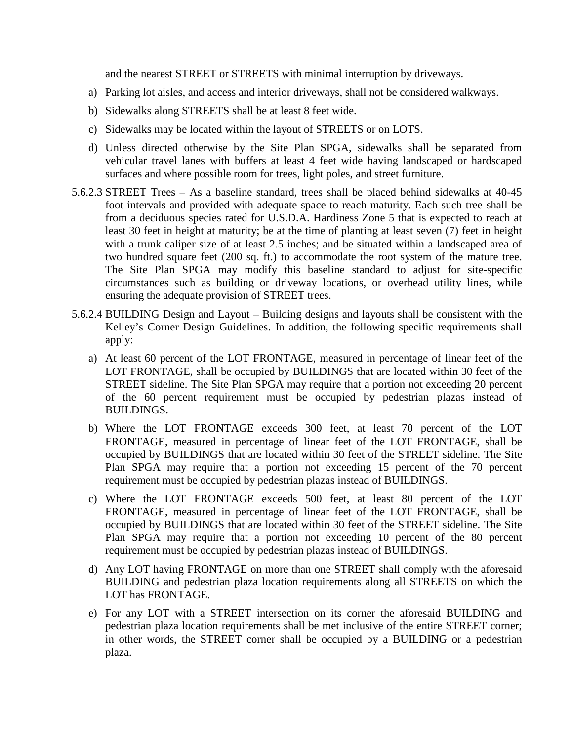and the nearest STREET or STREETS with minimal interruption by driveways.

- a) Parking lot aisles, and access and interior driveways, shall not be considered walkways.
- b) Sidewalks along STREETS shall be at least 8 feet wide.
- c) Sidewalks may be located within the layout of STREETS or on LOTS.
- d) Unless directed otherwise by the Site Plan SPGA, sidewalks shall be separated from vehicular travel lanes with buffers at least 4 feet wide having landscaped or hardscaped surfaces and where possible room for trees, light poles, and street furniture.
- 5.6.2.3 STREET Trees As a baseline standard, trees shall be placed behind sidewalks at 40-45 foot intervals and provided with adequate space to reach maturity. Each such tree shall be from a deciduous species rated for U.S.D.A. Hardiness Zone 5 that is expected to reach at least 30 feet in height at maturity; be at the time of planting at least seven (7) feet in height with a trunk caliper size of at least 2.5 inches; and be situated within a landscaped area of two hundred square feet (200 sq. ft.) to accommodate the root system of the mature tree. The Site Plan SPGA may modify this baseline standard to adjust for site-specific circumstances such as building or driveway locations, or overhead utility lines, while ensuring the adequate provision of STREET trees.
- 5.6.2.4 BUILDING Design and Layout Building designs and layouts shall be consistent with the Kelley's Corner Design Guidelines. In addition, the following specific requirements shall apply:
	- a) At least 60 percent of the LOT FRONTAGE, measured in percentage of linear feet of the LOT FRONTAGE, shall be occupied by BUILDINGS that are located within 30 feet of the STREET sideline. The Site Plan SPGA may require that a portion not exceeding 20 percent of the 60 percent requirement must be occupied by pedestrian plazas instead of BUILDINGS.
	- b) Where the LOT FRONTAGE exceeds 300 feet, at least 70 percent of the LOT FRONTAGE, measured in percentage of linear feet of the LOT FRONTAGE, shall be occupied by BUILDINGS that are located within 30 feet of the STREET sideline. The Site Plan SPGA may require that a portion not exceeding 15 percent of the 70 percent requirement must be occupied by pedestrian plazas instead of BUILDINGS.
	- c) Where the LOT FRONTAGE exceeds 500 feet, at least 80 percent of the LOT FRONTAGE, measured in percentage of linear feet of the LOT FRONTAGE, shall be occupied by BUILDINGS that are located within 30 feet of the STREET sideline. The Site Plan SPGA may require that a portion not exceeding 10 percent of the 80 percent requirement must be occupied by pedestrian plazas instead of BUILDINGS.
	- d) Any LOT having FRONTAGE on more than one STREET shall comply with the aforesaid BUILDING and pedestrian plaza location requirements along all STREETS on which the LOT has FRONTAGE.
	- e) For any LOT with a STREET intersection on its corner the aforesaid BUILDING and pedestrian plaza location requirements shall be met inclusive of the entire STREET corner; in other words, the STREET corner shall be occupied by a BUILDING or a pedestrian plaza.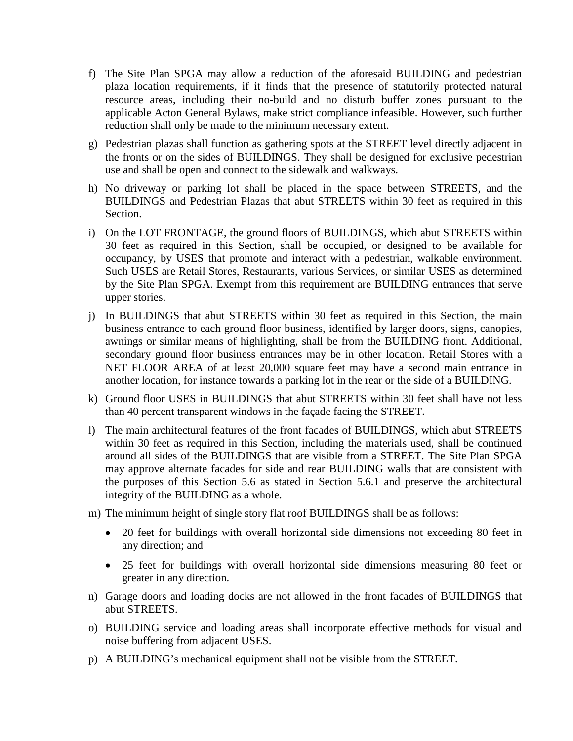- f) The Site Plan SPGA may allow a reduction of the aforesaid BUILDING and pedestrian plaza location requirements, if it finds that the presence of statutorily protected natural resource areas, including their no-build and no disturb buffer zones pursuant to the applicable Acton General Bylaws, make strict compliance infeasible. However, such further reduction shall only be made to the minimum necessary extent.
- g) Pedestrian plazas shall function as gathering spots at the STREET level directly adjacent in the fronts or on the sides of BUILDINGS. They shall be designed for exclusive pedestrian use and shall be open and connect to the sidewalk and walkways.
- h) No driveway or parking lot shall be placed in the space between STREETS, and the BUILDINGS and Pedestrian Plazas that abut STREETS within 30 feet as required in this Section.
- i) On the LOT FRONTAGE, the ground floors of BUILDINGS, which abut STREETS within 30 feet as required in this Section, shall be occupied, or designed to be available for occupancy, by USES that promote and interact with a pedestrian, walkable environment. Such USES are Retail Stores, Restaurants, various Services, or similar USES as determined by the Site Plan SPGA. Exempt from this requirement are BUILDING entrances that serve upper stories.
- j) In BUILDINGS that abut STREETS within 30 feet as required in this Section, the main business entrance to each ground floor business, identified by larger doors, signs, canopies, awnings or similar means of highlighting, shall be from the BUILDING front. Additional, secondary ground floor business entrances may be in other location. Retail Stores with a NET FLOOR AREA of at least 20,000 square feet may have a second main entrance in another location, for instance towards a parking lot in the rear or the side of a BUILDING.
- k) Ground floor USES in BUILDINGS that abut STREETS within 30 feet shall have not less than 40 percent transparent windows in the façade facing the STREET.
- l) The main architectural features of the front facades of BUILDINGS, which abut STREETS within 30 feet as required in this Section, including the materials used, shall be continued around all sides of the BUILDINGS that are visible from a STREET. The Site Plan SPGA may approve alternate facades for side and rear BUILDING walls that are consistent with the purposes of this Section 5.6 as stated in Section 5.6.1 and preserve the architectural integrity of the BUILDING as a whole.
- m) The minimum height of single story flat roof BUILDINGS shall be as follows:
	- 20 feet for buildings with overall horizontal side dimensions not exceeding 80 feet in any direction; and
	- 25 feet for buildings with overall horizontal side dimensions measuring 80 feet or greater in any direction.
- n) Garage doors and loading docks are not allowed in the front facades of BUILDINGS that abut STREETS.
- o) BUILDING service and loading areas shall incorporate effective methods for visual and noise buffering from adjacent USES.
- p) A BUILDING's mechanical equipment shall not be visible from the STREET.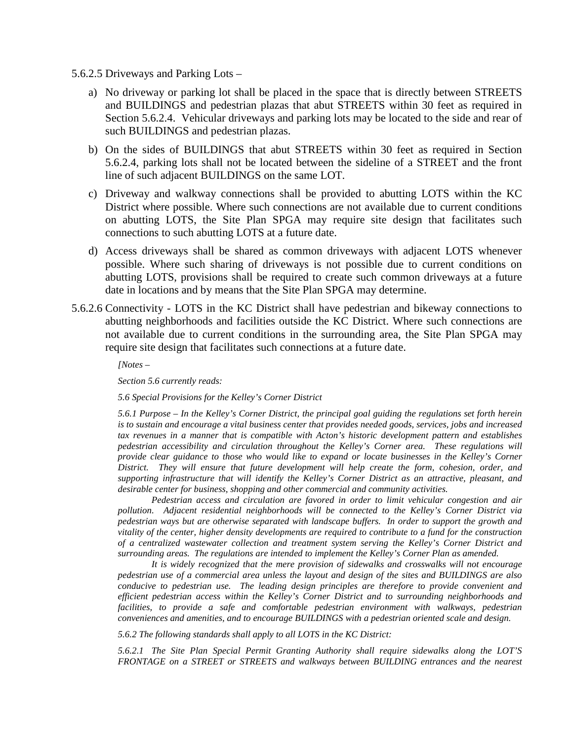- 5.6.2.5 Driveways and Parking Lots
	- a) No driveway or parking lot shall be placed in the space that is directly between STREETS and BUILDINGS and pedestrian plazas that abut STREETS within 30 feet as required in Section 5.6.2.4. Vehicular driveways and parking lots may be located to the side and rear of such BUILDINGS and pedestrian plazas.
	- b) On the sides of BUILDINGS that abut STREETS within 30 feet as required in Section 5.6.2.4, parking lots shall not be located between the sideline of a STREET and the front line of such adjacent BUILDINGS on the same LOT.
	- c) Driveway and walkway connections shall be provided to abutting LOTS within the KC District where possible. Where such connections are not available due to current conditions on abutting LOTS, the Site Plan SPGA may require site design that facilitates such connections to such abutting LOTS at a future date.
	- d) Access driveways shall be shared as common driveways with adjacent LOTS whenever possible. Where such sharing of driveways is not possible due to current conditions on abutting LOTS, provisions shall be required to create such common driveways at a future date in locations and by means that the Site Plan SPGA may determine.
- 5.6.2.6 Connectivity LOTS in the KC District shall have pedestrian and bikeway connections to abutting neighborhoods and facilities outside the KC District. Where such connections are not available due to current conditions in the surrounding area, the Site Plan SPGA may require site design that facilitates such connections at a future date.

*[Notes –*

*Section 5.6 currently reads:*

*5.6 Special Provisions for the Kelley's Corner District*

*5.6.1 Purpose – In the Kelley's Corner District, the principal goal guiding the regulations set forth herein is to sustain and encourage a vital business center that provides needed goods, services, jobs and increased tax revenues in a manner that is compatible with Acton's historic development pattern and establishes pedestrian accessibility and circulation throughout the Kelley's Corner area. These regulations will provide clear guidance to those who would like to expand or locate businesses in the Kelley's Corner District. They will ensure that future development will help create the form, cohesion, order, and supporting infrastructure that will identify the Kelley's Corner District as an attractive, pleasant, and desirable center for business, shopping and other commercial and community activities.*

*Pedestrian access and circulation are favored in order to limit vehicular congestion and air pollution. Adjacent residential neighborhoods will be connected to the Kelley's Corner District via pedestrian ways but are otherwise separated with landscape buffers. In order to support the growth and vitality of the center, higher density developments are required to contribute to a fund for the construction of a centralized wastewater collection and treatment system serving the Kelley's Corner District and surrounding areas. The regulations are intended to implement the Kelley's Corner Plan as amended.*

*It is widely recognized that the mere provision of sidewalks and crosswalks will not encourage pedestrian use of a commercial area unless the layout and design of the sites and BUILDINGS are also conducive to pedestrian use. The leading design principles are therefore to provide convenient and efficient pedestrian access within the Kelley's Corner District and to surrounding neighborhoods and facilities, to provide a safe and comfortable pedestrian environment with walkways, pedestrian conveniences and amenities, and to encourage BUILDINGS with a pedestrian oriented scale and design.*

*5.6.2 The following standards shall apply to all LOTS in the KC District:*

*5.6.2.1 The Site Plan Special Permit Granting Authority shall require sidewalks along the LOT'S FRONTAGE on a STREET or STREETS and walkways between BUILDING entrances and the nearest*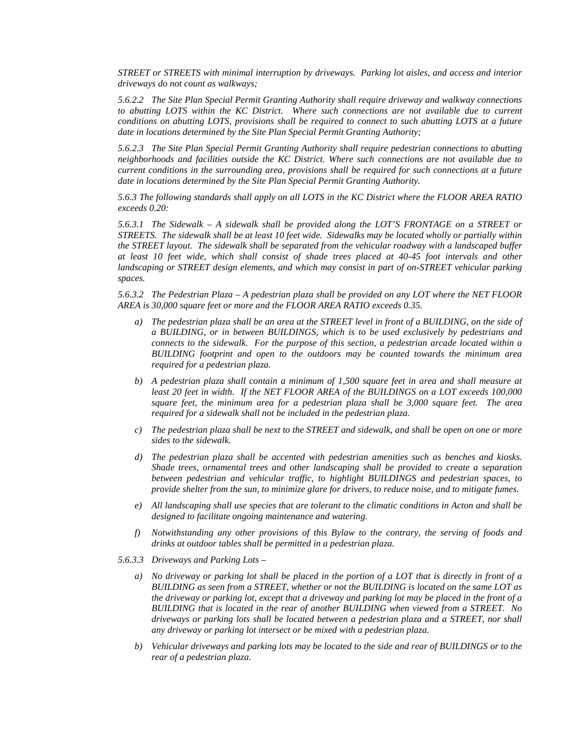*STREET or STREETS with minimal interruption by driveways. Parking lot aisles, and access and interior driveways do not count as walkways;*

*5.6.2.2 The Site Plan Special Permit Granting Authority shall require driveway and walkway connections to abutting LOTS within the KC District. Where such connections are not available due to current conditions on abutting LOTS, provisions shall be required to connect to such abutting LOTS at a future date in locations determined by the Site Plan Special Permit Granting Authority;*

*5.6.2.3 The Site Plan Special Permit Granting Authority shall require pedestrian connections to abutting neighborhoods and facilities outside the KC District. Where such connections are not available due to current conditions in the surrounding area, provisions shall be required for such connections at a future date in locations determined by the Site Plan Special Permit Granting Authority.*

*5.6.3 The following standards shall apply on all LOTS in the KC District where the FLOOR AREA RATIO exceeds 0.20:*

*5.6.3.1 The Sidewalk – A sidewalk shall be provided along the LOT'S FRONTAGE on a STREET or STREETS. The sidewalk shall be at least 10 feet wide. Sidewalks may be located wholly or partially within the STREET layout. The sidewalk shall be separated from the vehicular roadway with a landscaped buffer at least 10 feet wide, which shall consist of shade trees placed at 40-45 foot intervals and other landscaping or STREET design elements, and which may consist in part of on-STREET vehicular parking spaces.*

*5.6.3.2 The Pedestrian Plaza – A pedestrian plaza shall be provided on any LOT where the NET FLOOR AREA is 30,000 square feet or more and the FLOOR AREA RATIO exceeds 0.35.*

- *a) The pedestrian plaza shall be an area at the STREET level in front of a BUILDING, on the side of a BUILDING, or in between BUILDINGS, which is to be used exclusively by pedestrians and connects to the sidewalk. For the purpose of this section, a pedestrian arcade located within a BUILDING footprint and open to the outdoors may be counted towards the minimum area required for a pedestrian plaza.*
- *b) A pedestrian plaza shall contain a minimum of 1,500 square feet in area and shall measure at*  least 20 feet in width. If the NET FLOOR AREA of the BUILDINGS on a LOT exceeds 100,000 *square feet, the minimum area for a pedestrian plaza shall be 3,000 square feet. The area required for a sidewalk shall not be included in the pedestrian plaza.*
- *c) The pedestrian plaza shall be next to the STREET and sidewalk, and shall be open on one or more sides to the sidewalk.*
- *d) The pedestrian plaza shall be accented with pedestrian amenities such as benches and kiosks. Shade trees, ornamental trees and other landscaping shall be provided to create a separation between pedestrian and vehicular traffic, to highlight BUILDINGS and pedestrian spaces, to provide shelter from the sun, to minimize glare for drivers, to reduce noise, and to mitigate fumes.*
- *e) All landscaping shall use species that are tolerant to the climatic conditions in Acton and shall be designed to facilitate ongoing maintenance and watering.*
- *f) Notwithstanding any other provisions of this Bylaw to the contrary, the serving of foods and drinks at outdoor tables shall be permitted in a pedestrian plaza.*
- *5.6.3.3 Driveways and Parking Lots –*
	- *a) No driveway or parking lot shall be placed in the portion of a LOT that is directly in front of a BUILDING as seen from a STREET, whether or not the BUILDING is located on the same LOT as the driveway or parking lot, except that a driveway and parking lot may be placed in the front of a BUILDING that is located in the rear of another BUILDING when viewed from a STREET. No driveways or parking lots shall be located between a pedestrian plaza and a STREET, nor shall any driveway or parking lot intersect or be mixed with a pedestrian plaza.*
	- *b) Vehicular driveways and parking lots may be located to the side and rear of BUILDINGS or to the rear of a pedestrian plaza.*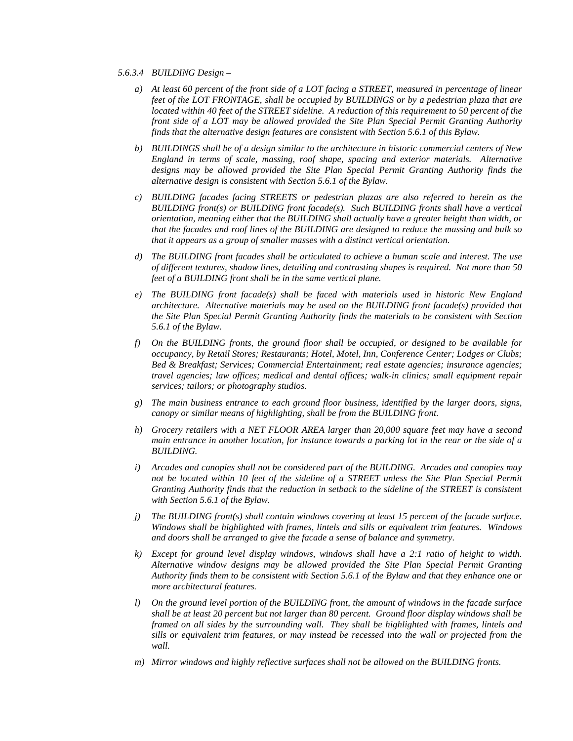- *5.6.3.4 BUILDING Design –*
	- *a) At least 60 percent of the front side of a LOT facing a STREET, measured in percentage of linear feet of the LOT FRONTAGE, shall be occupied by BUILDINGS or by a pedestrian plaza that are located within 40 feet of the STREET sideline. A reduction of this requirement to 50 percent of the front side of a LOT may be allowed provided the Site Plan Special Permit Granting Authority finds that the alternative design features are consistent with Section 5.6.1 of this Bylaw.*
	- *b) BUILDINGS shall be of a design similar to the architecture in historic commercial centers of New England in terms of scale, massing, roof shape, spacing and exterior materials. Alternative designs may be allowed provided the Site Plan Special Permit Granting Authority finds the alternative design is consistent with Section 5.6.1 of the Bylaw.*
	- *c) BUILDING facades facing STREETS or pedestrian plazas are also referred to herein as the BUILDING front(s) or BUILDING front facade(s). Such BUILDING fronts shall have a vertical orientation, meaning either that the BUILDING shall actually have a greater height than width, or that the facades and roof lines of the BUILDING are designed to reduce the massing and bulk so that it appears as a group of smaller masses with a distinct vertical orientation.*
	- *d) The BUILDING front facades shall be articulated to achieve a human scale and interest. The use of different textures, shadow lines, detailing and contrasting shapes is required. Not more than 50 feet of a BUILDING front shall be in the same vertical plane.*
	- *e) The BUILDING front facade(s) shall be faced with materials used in historic New England architecture. Alternative materials may be used on the BUILDING front facade(s) provided that the Site Plan Special Permit Granting Authority finds the materials to be consistent with Section 5.6.1 of the Bylaw.*
	- *f) On the BUILDING fronts, the ground floor shall be occupied, or designed to be available for occupancy, by Retail Stores; Restaurants; Hotel, Motel, Inn, Conference Center; Lodges or Clubs; Bed & Breakfast; Services; Commercial Entertainment; real estate agencies; insurance agencies; travel agencies; law offices; medical and dental offices; walk-in clinics; small equipment repair services; tailors; or photography studios.*
	- *g) The main business entrance to each ground floor business, identified by the larger doors, signs, canopy or similar means of highlighting, shall be from the BUILDING front.*
	- *h) Grocery retailers with a NET FLOOR AREA larger than 20,000 square feet may have a second main entrance in another location, for instance towards a parking lot in the rear or the side of a BUILDING.*
	- *i) Arcades and canopies shall not be considered part of the BUILDING. Arcades and canopies may not be located within 10 feet of the sideline of a STREET unless the Site Plan Special Permit Granting Authority finds that the reduction in setback to the sideline of the STREET is consistent with Section 5.6.1 of the Bylaw.*
	- *j) The BUILDING front(s) shall contain windows covering at least 15 percent of the facade surface. Windows shall be highlighted with frames, lintels and sills or equivalent trim features. Windows and doors shall be arranged to give the facade a sense of balance and symmetry.*
	- *k) Except for ground level display windows, windows shall have a 2:1 ratio of height to width. Alternative window designs may be allowed provided the Site Plan Special Permit Granting Authority finds them to be consistent with Section 5.6.1 of the Bylaw and that they enhance one or more architectural features.*
	- *l) On the ground level portion of the BUILDING front, the amount of windows in the facade surface shall be at least 20 percent but not larger than 80 percent. Ground floor display windows shall be framed on all sides by the surrounding wall. They shall be highlighted with frames, lintels and sills or equivalent trim features, or may instead be recessed into the wall or projected from the wall.*
	- *m) Mirror windows and highly reflective surfaces shall not be allowed on the BUILDING fronts.*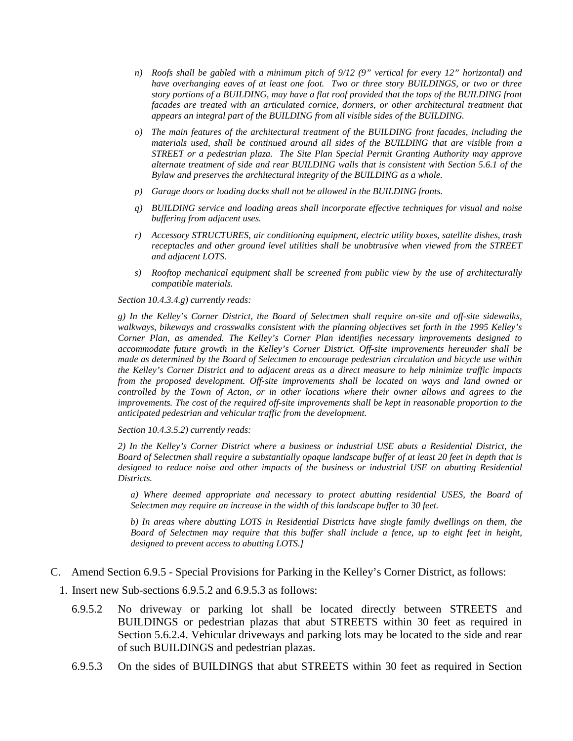- *n) Roofs shall be gabled with a minimum pitch of 9/12 (9" vertical for every 12" horizontal) and have overhanging eaves of at least one foot. Two or three story BUILDINGS, or two or three story portions of a BUILDING, may have a flat roof provided that the tops of the BUILDING front facades are treated with an articulated cornice, dormers, or other architectural treatment that appears an integral part of the BUILDING from all visible sides of the BUILDING.*
- *o) The main features of the architectural treatment of the BUILDING front facades, including the materials used, shall be continued around all sides of the BUILDING that are visible from a STREET or a pedestrian plaza. The Site Plan Special Permit Granting Authority may approve alternate treatment of side and rear BUILDING walls that is consistent with Section 5.6.1 of the Bylaw and preserves the architectural integrity of the BUILDING as a whole.*
- *p) Garage doors or loading docks shall not be allowed in the BUILDING fronts.*
- *q) BUILDING service and loading areas shall incorporate effective techniques for visual and noise buffering from adjacent uses.*
- *r) Accessory STRUCTURES, air conditioning equipment, electric utility boxes, satellite dishes, trash receptacles and other ground level utilities shall be unobtrusive when viewed from the STREET and adjacent LOTS.*
- *s) Rooftop mechanical equipment shall be screened from public view by the use of architecturally compatible materials.*

*Section 10.4.3.4.g) currently reads:*

*g) In the Kelley's Corner District, the Board of Selectmen shall require on-site and off-site sidewalks, walkways, bikeways and crosswalks consistent with the planning objectives set forth in the 1995 Kelley's Corner Plan, as amended. The Kelley's Corner Plan identifies necessary improvements designed to accommodate future growth in the Kelley's Corner District. Off-site improvements hereunder shall be made as determined by the Board of Selectmen to encourage pedestrian circulation and bicycle use within the Kelley's Corner District and to adjacent areas as a direct measure to help minimize traffic impacts from the proposed development. Off-site improvements shall be located on ways and land owned or controlled by the Town of Acton, or in other locations where their owner allows and agrees to the improvements. The cost of the required off-site improvements shall be kept in reasonable proportion to the anticipated pedestrian and vehicular traffic from the development.* 

*Section 10.4.3.5.2) currently reads:*

*2) In the Kelley's Corner District where a business or industrial USE abuts a Residential District, the Board of Selectmen shall require a substantially opaque landscape buffer of at least 20 feet in depth that is designed to reduce noise and other impacts of the business or industrial USE on abutting Residential Districts.* 

*a) Where deemed appropriate and necessary to protect abutting residential USES, the Board of Selectmen may require an increase in the width of this landscape buffer to 30 feet.* 

*b) In areas where abutting LOTS in Residential Districts have single family dwellings on them, the Board of Selectmen may require that this buffer shall include a fence, up to eight feet in height, designed to prevent access to abutting LOTS.]*

- C. Amend Section 6.9.5 Special Provisions for Parking in the Kelley's Corner District, as follows:
	- 1. Insert new Sub-sections 6.9.5.2 and 6.9.5.3 as follows:
		- 6.9.5.2 No driveway or parking lot shall be located directly between STREETS and BUILDINGS or pedestrian plazas that abut STREETS within 30 feet as required in Section 5.6.2.4. Vehicular driveways and parking lots may be located to the side and rear of such BUILDINGS and pedestrian plazas.
		- 6.9.5.3 On the sides of BUILDINGS that abut STREETS within 30 feet as required in Section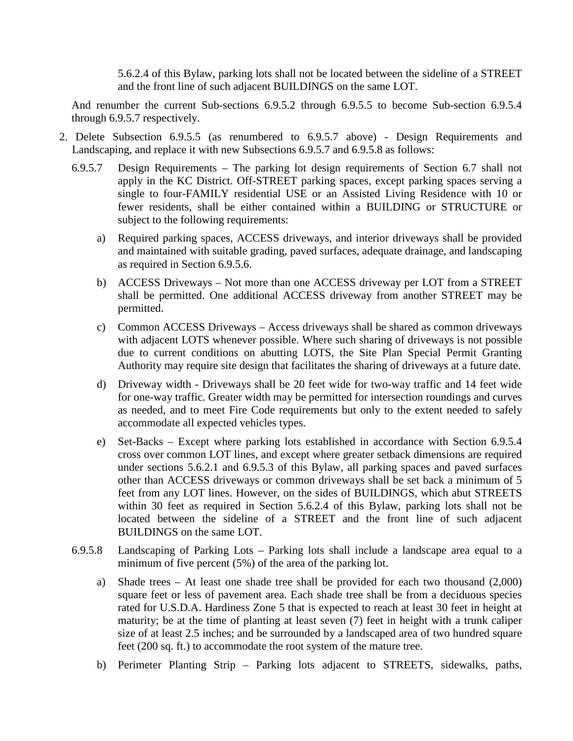5.6.2.4 of this Bylaw, parking lots shall not be located between the sideline of a STREET and the front line of such adjacent BUILDINGS on the same LOT.

And renumber the current Sub-sections 6.9.5.2 through 6.9.5.5 to become Sub-section 6.9.5.4 through 6.9.5.7 respectively.

- 2. Delete Subsection 6.9.5.5 (as renumbered to 6.9.5.7 above) Design Requirements and Landscaping, and replace it with new Subsections 6.9.5.7 and 6.9.5.8 as follows:
	- 6.9.5.7 Design Requirements The parking lot design requirements of Section 6.7 shall not apply in the KC District. Off-STREET parking spaces, except parking spaces serving a single to four-FAMILY residential USE or an Assisted Living Residence with 10 or fewer residents, shall be either contained within a BUILDING or STRUCTURE or subject to the following requirements:
		- a) Required parking spaces, ACCESS driveways, and interior driveways shall be provided and maintained with suitable grading, paved surfaces, adequate drainage, and landscaping as required in Section 6.9.5.6.
		- b) ACCESS Driveways Not more than one ACCESS driveway per LOT from a STREET shall be permitted. One additional ACCESS driveway from another STREET may be permitted.
		- c) Common ACCESS Driveways Access driveways shall be shared as common driveways with adjacent LOTS whenever possible. Where such sharing of driveways is not possible due to current conditions on abutting LOTS, the Site Plan Special Permit Granting Authority may require site design that facilitates the sharing of driveways at a future date.
		- d) Driveway width Driveways shall be 20 feet wide for two-way traffic and 14 feet wide for one-way traffic. Greater width may be permitted for intersection roundings and curves as needed, and to meet Fire Code requirements but only to the extent needed to safely accommodate all expected vehicles types.
		- e) Set-Backs Except where parking lots established in accordance with Section 6.9.5.4 cross over common LOT lines, and except where greater setback dimensions are required under sections 5.6.2.1 and 6.9.5.3 of this Bylaw, all parking spaces and paved surfaces other than ACCESS driveways or common driveways shall be set back a minimum of 5 feet from any LOT lines. However, on the sides of BUILDINGS, which abut STREETS within 30 feet as required in Section 5.6.2.4 of this Bylaw, parking lots shall not be located between the sideline of a STREET and the front line of such adjacent BUILDINGS on the same LOT.
	- 6.9.5.8 Landscaping of Parking Lots Parking lots shall include a landscape area equal to a minimum of five percent (5%) of the area of the parking lot.
		- a) Shade trees At least one shade tree shall be provided for each two thousand (2,000) square feet or less of pavement area. Each shade tree shall be from a deciduous species rated for U.S.D.A. Hardiness Zone 5 that is expected to reach at least 30 feet in height at maturity; be at the time of planting at least seven (7) feet in height with a trunk caliper size of at least 2.5 inches; and be surrounded by a landscaped area of two hundred square feet (200 sq. ft.) to accommodate the root system of the mature tree.
		- b) Perimeter Planting Strip Parking lots adjacent to STREETS, sidewalks, paths,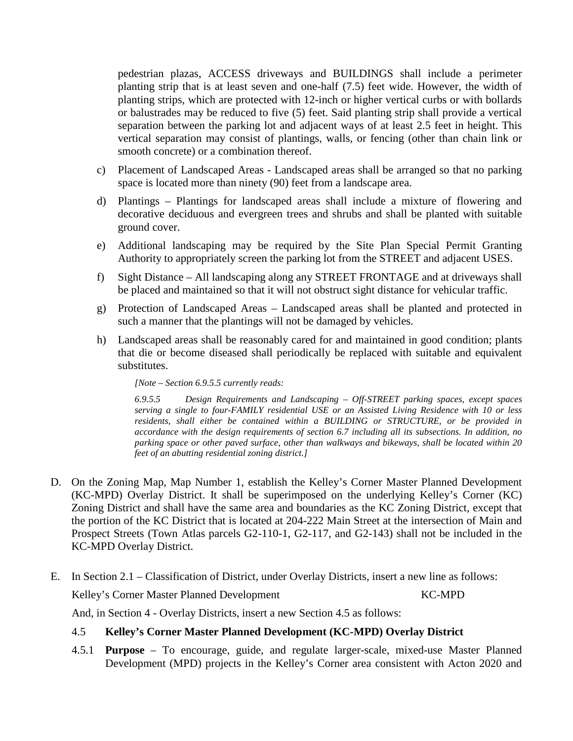pedestrian plazas, ACCESS driveways and BUILDINGS shall include a perimeter planting strip that is at least seven and one-half (7.5) feet wide. However, the width of planting strips, which are protected with 12-inch or higher vertical curbs or with bollards or balustrades may be reduced to five (5) feet. Said planting strip shall provide a vertical separation between the parking lot and adjacent ways of at least 2.5 feet in height. This vertical separation may consist of plantings, walls, or fencing (other than chain link or smooth concrete) or a combination thereof.

- c) Placement of Landscaped Areas Landscaped areas shall be arranged so that no parking space is located more than ninety (90) feet from a landscape area.
- d) Plantings Plantings for landscaped areas shall include a mixture of flowering and decorative deciduous and evergreen trees and shrubs and shall be planted with suitable ground cover.
- e) Additional landscaping may be required by the Site Plan Special Permit Granting Authority to appropriately screen the parking lot from the STREET and adjacent USES.
- f) Sight Distance All landscaping along any STREET FRONTAGE and at driveways shall be placed and maintained so that it will not obstruct sight distance for vehicular traffic.
- g) Protection of Landscaped Areas Landscaped areas shall be planted and protected in such a manner that the plantings will not be damaged by vehicles.
- h) Landscaped areas shall be reasonably cared for and maintained in good condition; plants that die or become diseased shall periodically be replaced with suitable and equivalent substitutes.

*[Note – Section 6.9.5.5 currently reads:*

*6.9.5.5 Design Requirements and Landscaping – Off-STREET parking spaces, except spaces serving a single to four-FAMILY residential USE or an Assisted Living Residence with 10 or less residents, shall either be contained within a BUILDING or STRUCTURE, or be provided in accordance with the design requirements of section 6.7 including all its subsections. In addition, no parking space or other paved surface, other than walkways and bikeways, shall be located within 20 feet of an abutting residential zoning district.]*

- D. On the Zoning Map, Map Number 1, establish the Kelley's Corner Master Planned Development (KC-MPD) Overlay District. It shall be superimposed on the underlying Kelley's Corner (KC) Zoning District and shall have the same area and boundaries as the KC Zoning District, except that the portion of the KC District that is located at 204-222 Main Street at the intersection of Main and Prospect Streets (Town Atlas parcels G2-110-1, G2-117, and G2-143) shall not be included in the KC-MPD Overlay District.
- E. In Section 2.1 Classification of District, under Overlay Districts, insert a new line as follows:

Kelley's Corner Master Planned Development KC-MPD

And, in Section 4 - Overlay Districts, insert a new Section 4.5 as follows:

#### 4.5 **Kelley's Corner Master Planned Development (KC-MPD) Overlay District**

4.5.1 **Purpose** – To encourage, guide, and regulate larger-scale, mixed-use Master Planned Development (MPD) projects in the Kelley's Corner area consistent with Acton 2020 and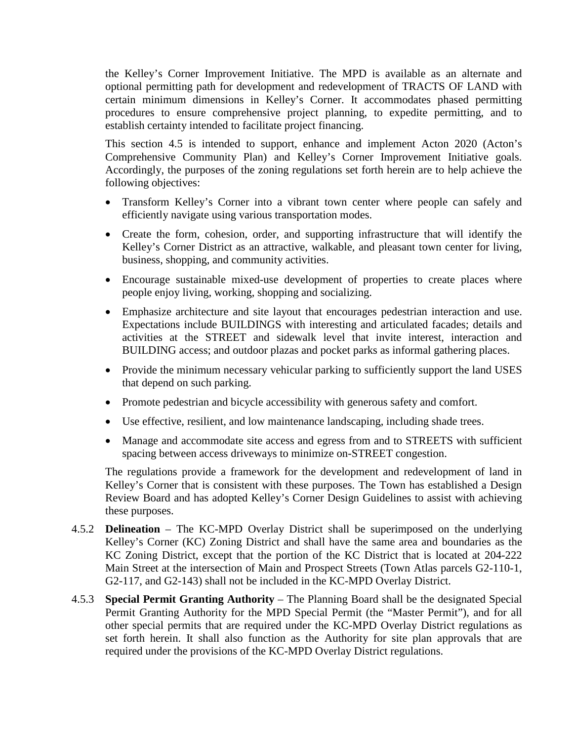the Kelley's Corner Improvement Initiative. The MPD is available as an alternate and optional permitting path for development and redevelopment of TRACTS OF LAND with certain minimum dimensions in Kelley's Corner. It accommodates phased permitting procedures to ensure comprehensive project planning, to expedite permitting, and to establish certainty intended to facilitate project financing.

This section 4.5 is intended to support, enhance and implement Acton 2020 (Acton's Comprehensive Community Plan) and Kelley's Corner Improvement Initiative goals. Accordingly, the purposes of the zoning regulations set forth herein are to help achieve the following objectives:

- Transform Kelley's Corner into a vibrant town center where people can safely and efficiently navigate using various transportation modes.
- Create the form, cohesion, order, and supporting infrastructure that will identify the Kelley's Corner District as an attractive, walkable, and pleasant town center for living, business, shopping, and community activities.
- Encourage sustainable mixed-use development of properties to create places where people enjoy living, working, shopping and socializing.
- Emphasize architecture and site layout that encourages pedestrian interaction and use. Expectations include BUILDINGS with interesting and articulated facades; details and activities at the STREET and sidewalk level that invite interest, interaction and BUILDING access; and outdoor plazas and pocket parks as informal gathering places.
- Provide the minimum necessary vehicular parking to sufficiently support the land USES that depend on such parking.
- Promote pedestrian and bicycle accessibility with generous safety and comfort.
- Use effective, resilient, and low maintenance landscaping, including shade trees.
- Manage and accommodate site access and egress from and to STREETS with sufficient spacing between access driveways to minimize on-STREET congestion.

The regulations provide a framework for the development and redevelopment of land in Kelley's Corner that is consistent with these purposes. The Town has established a Design Review Board and has adopted Kelley's Corner Design Guidelines to assist with achieving these purposes.

- 4.5.2 **Delineation** The KC-MPD Overlay District shall be superimposed on the underlying Kelley's Corner (KC) Zoning District and shall have the same area and boundaries as the KC Zoning District, except that the portion of the KC District that is located at 204-222 Main Street at the intersection of Main and Prospect Streets (Town Atlas parcels G2-110-1, G2-117, and G2-143) shall not be included in the KC-MPD Overlay District.
- 4.5.3 **Special Permit Granting Authority** The Planning Board shall be the designated Special Permit Granting Authority for the MPD Special Permit (the "Master Permit"), and for all other special permits that are required under the KC-MPD Overlay District regulations as set forth herein. It shall also function as the Authority for site plan approvals that are required under the provisions of the KC-MPD Overlay District regulations.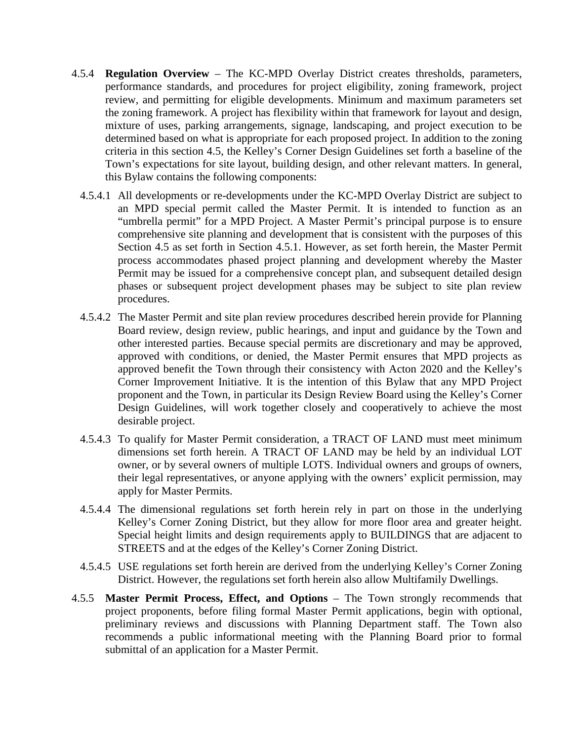- 4.5.4 **Regulation Overview** The KC-MPD Overlay District creates thresholds, parameters, performance standards, and procedures for project eligibility, zoning framework, project review, and permitting for eligible developments. Minimum and maximum parameters set the zoning framework. A project has flexibility within that framework for layout and design, mixture of uses, parking arrangements, signage, landscaping, and project execution to be determined based on what is appropriate for each proposed project. In addition to the zoning criteria in this section 4.5, the Kelley's Corner Design Guidelines set forth a baseline of the Town's expectations for site layout, building design, and other relevant matters. In general, this Bylaw contains the following components:
	- 4.5.4.1 All developments or re-developments under the KC-MPD Overlay District are subject to an MPD special permit called the Master Permit. It is intended to function as an "umbrella permit" for a MPD Project. A Master Permit's principal purpose is to ensure comprehensive site planning and development that is consistent with the purposes of this Section 4.5 as set forth in Section 4.5.1. However, as set forth herein, the Master Permit process accommodates phased project planning and development whereby the Master Permit may be issued for a comprehensive concept plan, and subsequent detailed design phases or subsequent project development phases may be subject to site plan review procedures.
	- 4.5.4.2 The Master Permit and site plan review procedures described herein provide for Planning Board review, design review, public hearings, and input and guidance by the Town and other interested parties. Because special permits are discretionary and may be approved, approved with conditions, or denied, the Master Permit ensures that MPD projects as approved benefit the Town through their consistency with Acton 2020 and the Kelley's Corner Improvement Initiative. It is the intention of this Bylaw that any MPD Project proponent and the Town, in particular its Design Review Board using the Kelley's Corner Design Guidelines, will work together closely and cooperatively to achieve the most desirable project.
	- 4.5.4.3 To qualify for Master Permit consideration, a TRACT OF LAND must meet minimum dimensions set forth herein. A TRACT OF LAND may be held by an individual LOT owner, or by several owners of multiple LOTS. Individual owners and groups of owners, their legal representatives, or anyone applying with the owners' explicit permission, may apply for Master Permits.
	- 4.5.4.4 The dimensional regulations set forth herein rely in part on those in the underlying Kelley's Corner Zoning District, but they allow for more floor area and greater height. Special height limits and design requirements apply to BUILDINGS that are adjacent to STREETS and at the edges of the Kelley's Corner Zoning District.
	- 4.5.4.5 USE regulations set forth herein are derived from the underlying Kelley's Corner Zoning District. However, the regulations set forth herein also allow Multifamily Dwellings.
- 4.5.5 **Master Permit Process, Effect, and Options** The Town strongly recommends that project proponents, before filing formal Master Permit applications, begin with optional, preliminary reviews and discussions with Planning Department staff. The Town also recommends a public informational meeting with the Planning Board prior to formal submittal of an application for a Master Permit.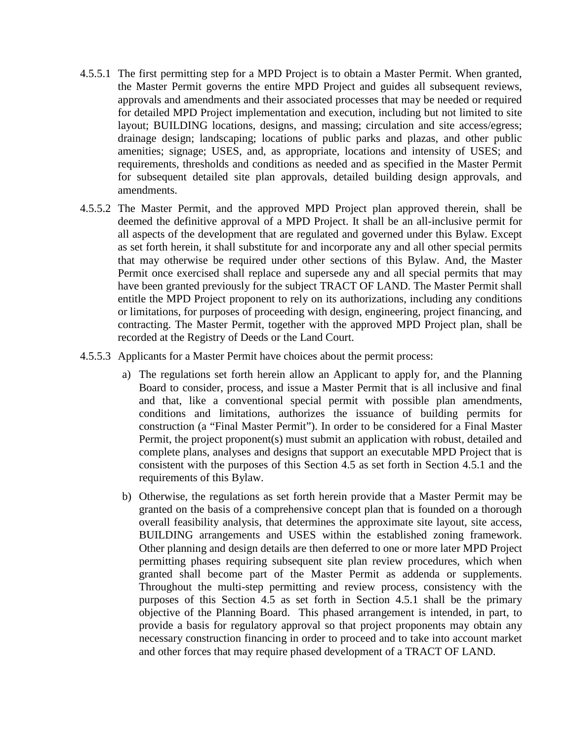- 4.5.5.1 The first permitting step for a MPD Project is to obtain a Master Permit. When granted, the Master Permit governs the entire MPD Project and guides all subsequent reviews, approvals and amendments and their associated processes that may be needed or required for detailed MPD Project implementation and execution, including but not limited to site layout; BUILDING locations, designs, and massing; circulation and site access/egress; drainage design; landscaping; locations of public parks and plazas, and other public amenities; signage; USES, and, as appropriate, locations and intensity of USES; and requirements, thresholds and conditions as needed and as specified in the Master Permit for subsequent detailed site plan approvals, detailed building design approvals, and amendments.
- 4.5.5.2 The Master Permit, and the approved MPD Project plan approved therein, shall be deemed the definitive approval of a MPD Project. It shall be an all-inclusive permit for all aspects of the development that are regulated and governed under this Bylaw. Except as set forth herein, it shall substitute for and incorporate any and all other special permits that may otherwise be required under other sections of this Bylaw. And, the Master Permit once exercised shall replace and supersede any and all special permits that may have been granted previously for the subject TRACT OF LAND. The Master Permit shall entitle the MPD Project proponent to rely on its authorizations, including any conditions or limitations, for purposes of proceeding with design, engineering, project financing, and contracting. The Master Permit, together with the approved MPD Project plan, shall be recorded at the Registry of Deeds or the Land Court.
- 4.5.5.3 Applicants for a Master Permit have choices about the permit process:
	- a) The regulations set forth herein allow an Applicant to apply for, and the Planning Board to consider, process, and issue a Master Permit that is all inclusive and final and that, like a conventional special permit with possible plan amendments, conditions and limitations, authorizes the issuance of building permits for construction (a "Final Master Permit"). In order to be considered for a Final Master Permit, the project proponent(s) must submit an application with robust, detailed and complete plans, analyses and designs that support an executable MPD Project that is consistent with the purposes of this Section 4.5 as set forth in Section 4.5.1 and the requirements of this Bylaw.
	- b) Otherwise, the regulations as set forth herein provide that a Master Permit may be granted on the basis of a comprehensive concept plan that is founded on a thorough overall feasibility analysis, that determines the approximate site layout, site access, BUILDING arrangements and USES within the established zoning framework. Other planning and design details are then deferred to one or more later MPD Project permitting phases requiring subsequent site plan review procedures, which when granted shall become part of the Master Permit as addenda or supplements. Throughout the multi-step permitting and review process, consistency with the purposes of this Section 4.5 as set forth in Section 4.5.1 shall be the primary objective of the Planning Board. This phased arrangement is intended, in part, to provide a basis for regulatory approval so that project proponents may obtain any necessary construction financing in order to proceed and to take into account market and other forces that may require phased development of a TRACT OF LAND.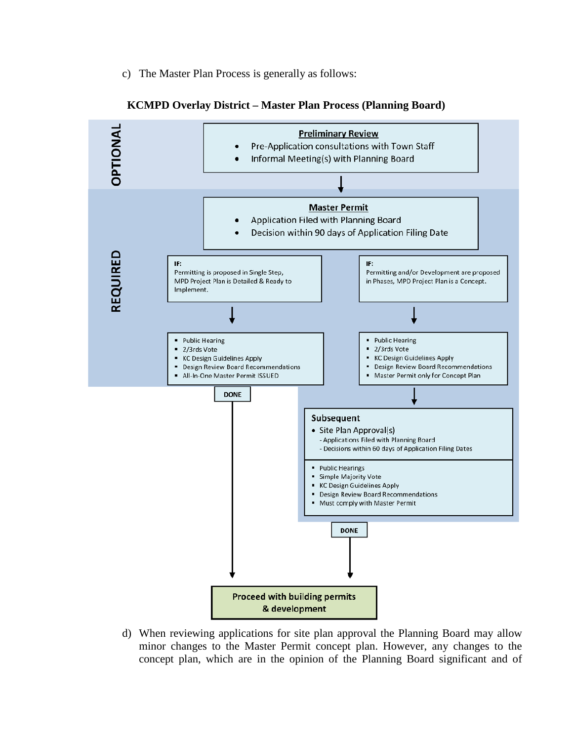c) The Master Plan Process is generally as follows:



#### **KCMPD Overlay District – Master Plan Process (Planning Board)**

d) When reviewing applications for site plan approval the Planning Board may allow minor changes to the Master Permit concept plan. However, any changes to the concept plan, which are in the opinion of the Planning Board significant and of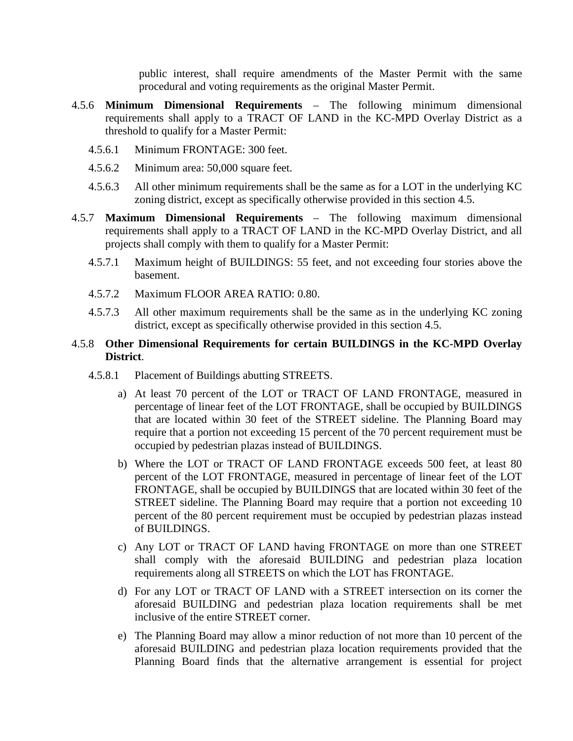public interest, shall require amendments of the Master Permit with the same procedural and voting requirements as the original Master Permit.

- 4.5.6 **Minimum Dimensional Requirements** The following minimum dimensional requirements shall apply to a TRACT OF LAND in the KC-MPD Overlay District as a threshold to qualify for a Master Permit:
	- 4.5.6.1 Minimum FRONTAGE: 300 feet.
	- 4.5.6.2 Minimum area: 50,000 square feet.
	- 4.5.6.3 All other minimum requirements shall be the same as for a LOT in the underlying KC zoning district, except as specifically otherwise provided in this section 4.5.
- 4.5.7 **Maximum Dimensional Requirements** The following maximum dimensional requirements shall apply to a TRACT OF LAND in the KC-MPD Overlay District, and all projects shall comply with them to qualify for a Master Permit:
	- 4.5.7.1 Maximum height of BUILDINGS: 55 feet, and not exceeding four stories above the basement.
	- 4.5.7.2 Maximum FLOOR AREA RATIO: 0.80.
	- 4.5.7.3 All other maximum requirements shall be the same as in the underlying KC zoning district, except as specifically otherwise provided in this section 4.5.

## 4.5.8 **Other Dimensional Requirements for certain BUILDINGS in the KC-MPD Overlay District**.

- 4.5.8.1 Placement of Buildings abutting STREETS.
	- a) At least 70 percent of the LOT or TRACT OF LAND FRONTAGE, measured in percentage of linear feet of the LOT FRONTAGE, shall be occupied by BUILDINGS that are located within 30 feet of the STREET sideline. The Planning Board may require that a portion not exceeding 15 percent of the 70 percent requirement must be occupied by pedestrian plazas instead of BUILDINGS.
	- b) Where the LOT or TRACT OF LAND FRONTAGE exceeds 500 feet, at least 80 percent of the LOT FRONTAGE, measured in percentage of linear feet of the LOT FRONTAGE, shall be occupied by BUILDINGS that are located within 30 feet of the STREET sideline. The Planning Board may require that a portion not exceeding 10 percent of the 80 percent requirement must be occupied by pedestrian plazas instead of BUILDINGS.
	- c) Any LOT or TRACT OF LAND having FRONTAGE on more than one STREET shall comply with the aforesaid BUILDING and pedestrian plaza location requirements along all STREETS on which the LOT has FRONTAGE.
	- d) For any LOT or TRACT OF LAND with a STREET intersection on its corner the aforesaid BUILDING and pedestrian plaza location requirements shall be met inclusive of the entire STREET corner.
	- e) The Planning Board may allow a minor reduction of not more than 10 percent of the aforesaid BUILDING and pedestrian plaza location requirements provided that the Planning Board finds that the alternative arrangement is essential for project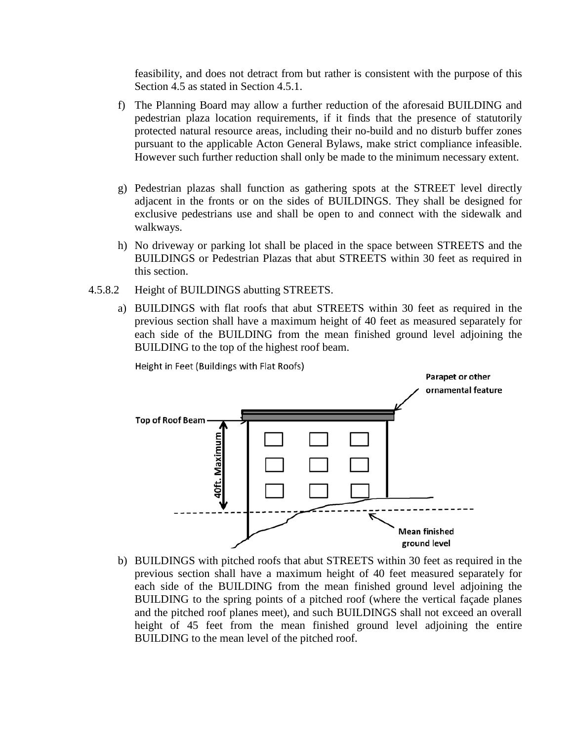feasibility, and does not detract from but rather is consistent with the purpose of this Section 4.5 as stated in Section 4.5.1.

- f) The Planning Board may allow a further reduction of the aforesaid BUILDING and pedestrian plaza location requirements, if it finds that the presence of statutorily protected natural resource areas, including their no-build and no disturb buffer zones pursuant to the applicable Acton General Bylaws, make strict compliance infeasible. However such further reduction shall only be made to the minimum necessary extent.
- g) Pedestrian plazas shall function as gathering spots at the STREET level directly adjacent in the fronts or on the sides of BUILDINGS. They shall be designed for exclusive pedestrians use and shall be open to and connect with the sidewalk and walkways.
- h) No driveway or parking lot shall be placed in the space between STREETS and the BUILDINGS or Pedestrian Plazas that abut STREETS within 30 feet as required in this section.
- 4.5.8.2 Height of BUILDINGS abutting STREETS.
	- a) BUILDINGS with flat roofs that abut STREETS within 30 feet as required in the previous section shall have a maximum height of 40 feet as measured separately for each side of the BUILDING from the mean finished ground level adjoining the BUILDING to the top of the highest roof beam.



Height in Feet (Buildings with Flat Roofs)

b) BUILDINGS with pitched roofs that abut STREETS within 30 feet as required in the previous section shall have a maximum height of 40 feet measured separately for each side of the BUILDING from the mean finished ground level adjoining the BUILDING to the spring points of a pitched roof (where the vertical façade planes and the pitched roof planes meet), and such BUILDINGS shall not exceed an overall height of 45 feet from the mean finished ground level adjoining the entire BUILDING to the mean level of the pitched roof.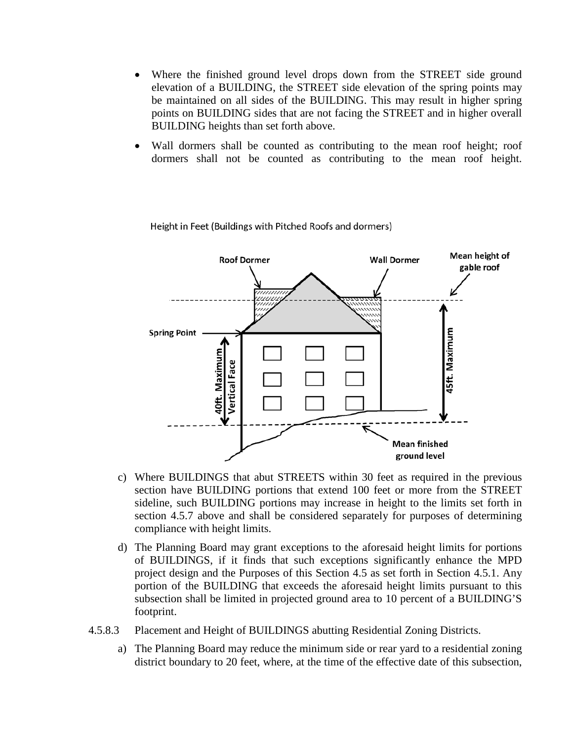- Where the finished ground level drops down from the STREET side ground elevation of a BUILDING, the STREET side elevation of the spring points may be maintained on all sides of the BUILDING. This may result in higher spring points on BUILDING sides that are not facing the STREET and in higher overall BUILDING heights than set forth above.
- Wall dormers shall be counted as contributing to the mean roof height; roof dormers shall not be counted as contributing to the mean roof height.



Height in Feet (Buildings with Pitched Roofs and dormers)

- c) Where BUILDINGS that abut STREETS within 30 feet as required in the previous section have BUILDING portions that extend 100 feet or more from the STREET sideline, such BUILDING portions may increase in height to the limits set forth in section 4.5.7 above and shall be considered separately for purposes of determining compliance with height limits.
- d) The Planning Board may grant exceptions to the aforesaid height limits for portions of BUILDINGS, if it finds that such exceptions significantly enhance the MPD project design and the Purposes of this Section 4.5 as set forth in Section 4.5.1. Any portion of the BUILDING that exceeds the aforesaid height limits pursuant to this subsection shall be limited in projected ground area to 10 percent of a BUILDING'S footprint.
- 4.5.8.3 Placement and Height of BUILDINGS abutting Residential Zoning Districts.
	- a) The Planning Board may reduce the minimum side or rear yard to a residential zoning district boundary to 20 feet, where, at the time of the effective date of this subsection,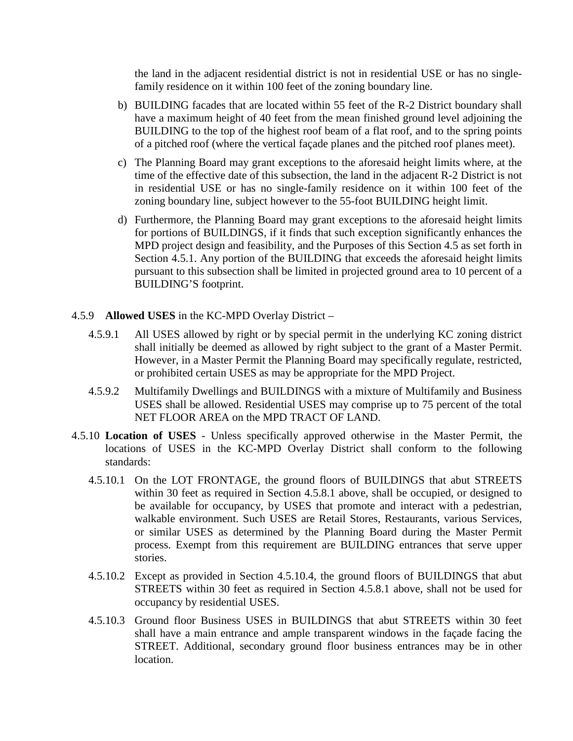the land in the adjacent residential district is not in residential USE or has no singlefamily residence on it within 100 feet of the zoning boundary line.

- b) BUILDING facades that are located within 55 feet of the R-2 District boundary shall have a maximum height of 40 feet from the mean finished ground level adjoining the BUILDING to the top of the highest roof beam of a flat roof, and to the spring points of a pitched roof (where the vertical façade planes and the pitched roof planes meet).
- c) The Planning Board may grant exceptions to the aforesaid height limits where, at the time of the effective date of this subsection, the land in the adjacent R-2 District is not in residential USE or has no single-family residence on it within 100 feet of the zoning boundary line, subject however to the 55-foot BUILDING height limit.
- d) Furthermore, the Planning Board may grant exceptions to the aforesaid height limits for portions of BUILDINGS, if it finds that such exception significantly enhances the MPD project design and feasibility, and the Purposes of this Section 4.5 as set forth in Section 4.5.1. Any portion of the BUILDING that exceeds the aforesaid height limits pursuant to this subsection shall be limited in projected ground area to 10 percent of a BUILDING'S footprint.

#### 4.5.9 **Allowed USES** in the KC-MPD Overlay District –

- 4.5.9.1 All USES allowed by right or by special permit in the underlying KC zoning district shall initially be deemed as allowed by right subject to the grant of a Master Permit. However, in a Master Permit the Planning Board may specifically regulate, restricted, or prohibited certain USES as may be appropriate for the MPD Project.
- 4.5.9.2 Multifamily Dwellings and BUILDINGS with a mixture of Multifamily and Business USES shall be allowed. Residential USES may comprise up to 75 percent of the total NET FLOOR AREA on the MPD TRACT OF LAND.
- 4.5.10 **Location of USES** Unless specifically approved otherwise in the Master Permit, the locations of USES in the KC-MPD Overlay District shall conform to the following standards:
	- 4.5.10.1 On the LOT FRONTAGE, the ground floors of BUILDINGS that abut STREETS within 30 feet as required in Section 4.5.8.1 above, shall be occupied, or designed to be available for occupancy, by USES that promote and interact with a pedestrian, walkable environment. Such USES are Retail Stores, Restaurants, various Services, or similar USES as determined by the Planning Board during the Master Permit process. Exempt from this requirement are BUILDING entrances that serve upper stories.
	- 4.5.10.2 Except as provided in Section 4.5.10.4, the ground floors of BUILDINGS that abut STREETS within 30 feet as required in Section 4.5.8.1 above, shall not be used for occupancy by residential USES.
	- 4.5.10.3 Ground floor Business USES in BUILDINGS that abut STREETS within 30 feet shall have a main entrance and ample transparent windows in the façade facing the STREET. Additional, secondary ground floor business entrances may be in other location.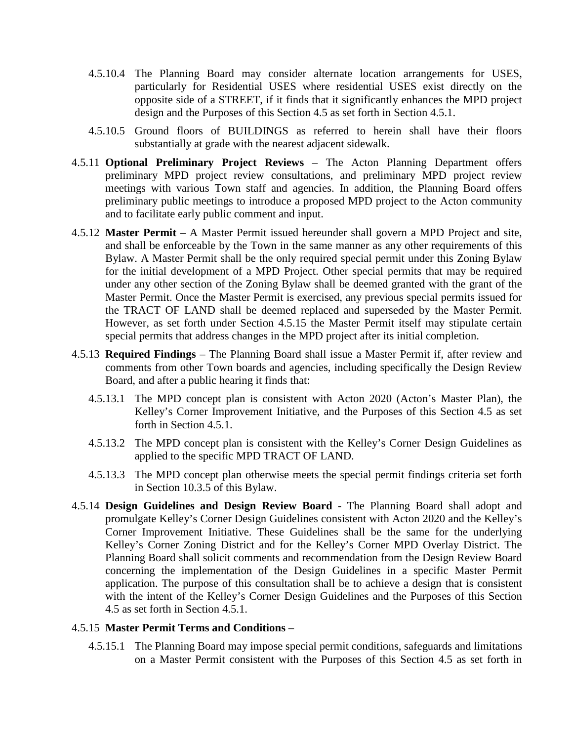- 4.5.10.4 The Planning Board may consider alternate location arrangements for USES, particularly for Residential USES where residential USES exist directly on the opposite side of a STREET, if it finds that it significantly enhances the MPD project design and the Purposes of this Section 4.5 as set forth in Section 4.5.1.
- 4.5.10.5 Ground floors of BUILDINGS as referred to herein shall have their floors substantially at grade with the nearest adjacent sidewalk.
- 4.5.11 **Optional Preliminary Project Reviews** The Acton Planning Department offers preliminary MPD project review consultations, and preliminary MPD project review meetings with various Town staff and agencies. In addition, the Planning Board offers preliminary public meetings to introduce a proposed MPD project to the Acton community and to facilitate early public comment and input.
- 4.5.12 **Master Permit** A Master Permit issued hereunder shall govern a MPD Project and site, and shall be enforceable by the Town in the same manner as any other requirements of this Bylaw. A Master Permit shall be the only required special permit under this Zoning Bylaw for the initial development of a MPD Project. Other special permits that may be required under any other section of the Zoning Bylaw shall be deemed granted with the grant of the Master Permit. Once the Master Permit is exercised, any previous special permits issued for the TRACT OF LAND shall be deemed replaced and superseded by the Master Permit. However, as set forth under Section 4.5.15 the Master Permit itself may stipulate certain special permits that address changes in the MPD project after its initial completion.
- 4.5.13 **Required Findings** The Planning Board shall issue a Master Permit if, after review and comments from other Town boards and agencies, including specifically the Design Review Board, and after a public hearing it finds that:
	- 4.5.13.1 The MPD concept plan is consistent with Acton 2020 (Acton's Master Plan), the Kelley's Corner Improvement Initiative, and the Purposes of this Section 4.5 as set forth in Section 4.5.1.
	- 4.5.13.2 The MPD concept plan is consistent with the Kelley's Corner Design Guidelines as applied to the specific MPD TRACT OF LAND.
	- 4.5.13.3 The MPD concept plan otherwise meets the special permit findings criteria set forth in Section 10.3.5 of this Bylaw.
- 4.5.14 **Design Guidelines and Design Review Board** The Planning Board shall adopt and promulgate Kelley's Corner Design Guidelines consistent with Acton 2020 and the Kelley's Corner Improvement Initiative. These Guidelines shall be the same for the underlying Kelley's Corner Zoning District and for the Kelley's Corner MPD Overlay District. The Planning Board shall solicit comments and recommendation from the Design Review Board concerning the implementation of the Design Guidelines in a specific Master Permit application. The purpose of this consultation shall be to achieve a design that is consistent with the intent of the Kelley's Corner Design Guidelines and the Purposes of this Section 4.5 as set forth in Section 4.5.1.

#### 4.5.15 **Master Permit Terms and Conditions** –

4.5.15.1 The Planning Board may impose special permit conditions, safeguards and limitations on a Master Permit consistent with the Purposes of this Section 4.5 as set forth in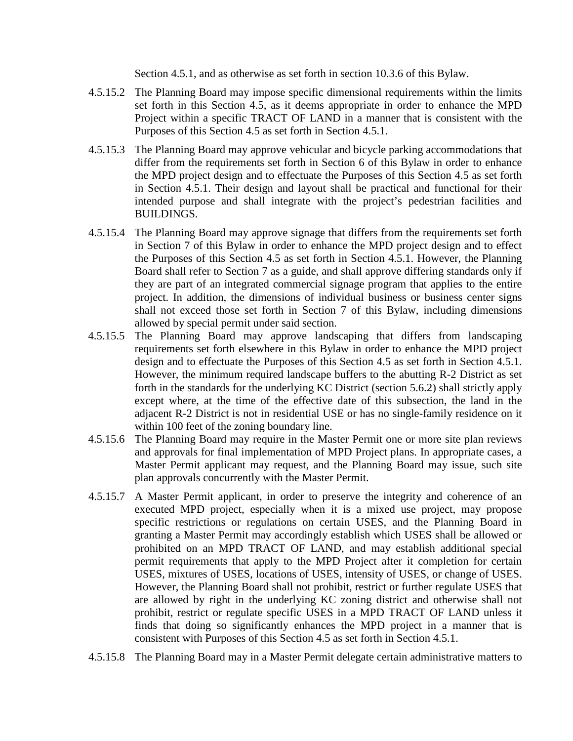Section 4.5.1, and as otherwise as set forth in section 10.3.6 of this Bylaw.

- 4.5.15.2 The Planning Board may impose specific dimensional requirements within the limits set forth in this Section 4.5, as it deems appropriate in order to enhance the MPD Project within a specific TRACT OF LAND in a manner that is consistent with the Purposes of this Section 4.5 as set forth in Section 4.5.1.
- 4.5.15.3 The Planning Board may approve vehicular and bicycle parking accommodations that differ from the requirements set forth in Section 6 of this Bylaw in order to enhance the MPD project design and to effectuate the Purposes of this Section 4.5 as set forth in Section 4.5.1. Their design and layout shall be practical and functional for their intended purpose and shall integrate with the project's pedestrian facilities and BUILDINGS.
- 4.5.15.4 The Planning Board may approve signage that differs from the requirements set forth in Section 7 of this Bylaw in order to enhance the MPD project design and to effect the Purposes of this Section 4.5 as set forth in Section 4.5.1. However, the Planning Board shall refer to Section 7 as a guide, and shall approve differing standards only if they are part of an integrated commercial signage program that applies to the entire project. In addition, the dimensions of individual business or business center signs shall not exceed those set forth in Section 7 of this Bylaw, including dimensions allowed by special permit under said section.
- 4.5.15.5 The Planning Board may approve landscaping that differs from landscaping requirements set forth elsewhere in this Bylaw in order to enhance the MPD project design and to effectuate the Purposes of this Section 4.5 as set forth in Section 4.5.1. However, the minimum required landscape buffers to the abutting R-2 District as set forth in the standards for the underlying KC District (section 5.6.2) shall strictly apply except where, at the time of the effective date of this subsection, the land in the adjacent R-2 District is not in residential USE or has no single-family residence on it within 100 feet of the zoning boundary line.
- 4.5.15.6 The Planning Board may require in the Master Permit one or more site plan reviews and approvals for final implementation of MPD Project plans. In appropriate cases, a Master Permit applicant may request, and the Planning Board may issue, such site plan approvals concurrently with the Master Permit.
- 4.5.15.7 A Master Permit applicant, in order to preserve the integrity and coherence of an executed MPD project, especially when it is a mixed use project, may propose specific restrictions or regulations on certain USES, and the Planning Board in granting a Master Permit may accordingly establish which USES shall be allowed or prohibited on an MPD TRACT OF LAND, and may establish additional special permit requirements that apply to the MPD Project after it completion for certain USES, mixtures of USES, locations of USES, intensity of USES, or change of USES. However, the Planning Board shall not prohibit, restrict or further regulate USES that are allowed by right in the underlying KC zoning district and otherwise shall not prohibit, restrict or regulate specific USES in a MPD TRACT OF LAND unless it finds that doing so significantly enhances the MPD project in a manner that is consistent with Purposes of this Section 4.5 as set forth in Section 4.5.1.
- 4.5.15.8 The Planning Board may in a Master Permit delegate certain administrative matters to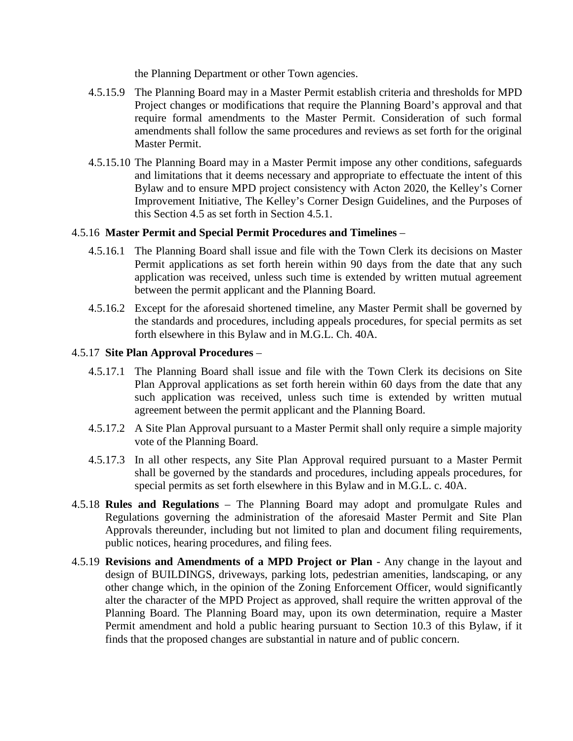the Planning Department or other Town agencies.

- 4.5.15.9 The Planning Board may in a Master Permit establish criteria and thresholds for MPD Project changes or modifications that require the Planning Board's approval and that require formal amendments to the Master Permit. Consideration of such formal amendments shall follow the same procedures and reviews as set forth for the original Master Permit.
- 4.5.15.10 The Planning Board may in a Master Permit impose any other conditions, safeguards and limitations that it deems necessary and appropriate to effectuate the intent of this Bylaw and to ensure MPD project consistency with Acton 2020, the Kelley's Corner Improvement Initiative, The Kelley's Corner Design Guidelines, and the Purposes of this Section 4.5 as set forth in Section 4.5.1.

### 4.5.16 **Master Permit and Special Permit Procedures and Timelines** –

- 4.5.16.1 The Planning Board shall issue and file with the Town Clerk its decisions on Master Permit applications as set forth herein within 90 days from the date that any such application was received, unless such time is extended by written mutual agreement between the permit applicant and the Planning Board.
- 4.5.16.2 Except for the aforesaid shortened timeline, any Master Permit shall be governed by the standards and procedures, including appeals procedures, for special permits as set forth elsewhere in this Bylaw and in M.G.L. Ch. 40A.

### 4.5.17 **Site Plan Approval Procedures** –

- 4.5.17.1 The Planning Board shall issue and file with the Town Clerk its decisions on Site Plan Approval applications as set forth herein within 60 days from the date that any such application was received, unless such time is extended by written mutual agreement between the permit applicant and the Planning Board.
- 4.5.17.2 A Site Plan Approval pursuant to a Master Permit shall only require a simple majority vote of the Planning Board.
- 4.5.17.3 In all other respects, any Site Plan Approval required pursuant to a Master Permit shall be governed by the standards and procedures, including appeals procedures, for special permits as set forth elsewhere in this Bylaw and in M.G.L. c. 40A.
- 4.5.18 **Rules and Regulations** The Planning Board may adopt and promulgate Rules and Regulations governing the administration of the aforesaid Master Permit and Site Plan Approvals thereunder, including but not limited to plan and document filing requirements, public notices, hearing procedures, and filing fees.
- 4.5.19 **Revisions and Amendments of a MPD Project or Plan** Any change in the layout and design of BUILDINGS, driveways, parking lots, pedestrian amenities, landscaping, or any other change which, in the opinion of the Zoning Enforcement Officer, would significantly alter the character of the MPD Project as approved, shall require the written approval of the Planning Board. The Planning Board may, upon its own determination, require a Master Permit amendment and hold a public hearing pursuant to Section 10.3 of this Bylaw, if it finds that the proposed changes are substantial in nature and of public concern.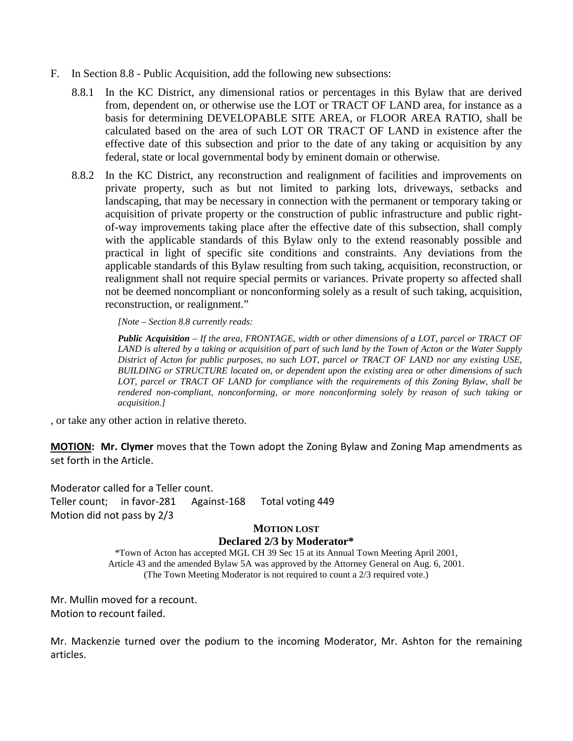- F. In Section 8.8 Public Acquisition, add the following new subsections:
	- 8.8.1 In the KC District, any dimensional ratios or percentages in this Bylaw that are derived from, dependent on, or otherwise use the LOT or TRACT OF LAND area, for instance as a basis for determining DEVELOPABLE SITE AREA, or FLOOR AREA RATIO, shall be calculated based on the area of such LOT OR TRACT OF LAND in existence after the effective date of this subsection and prior to the date of any taking or acquisition by any federal, state or local governmental body by eminent domain or otherwise.
	- 8.8.2 In the KC District, any reconstruction and realignment of facilities and improvements on private property, such as but not limited to parking lots, driveways, setbacks and landscaping, that may be necessary in connection with the permanent or temporary taking or acquisition of private property or the construction of public infrastructure and public rightof-way improvements taking place after the effective date of this subsection, shall comply with the applicable standards of this Bylaw only to the extend reasonably possible and practical in light of specific site conditions and constraints. Any deviations from the applicable standards of this Bylaw resulting from such taking, acquisition, reconstruction, or realignment shall not require special permits or variances. Private property so affected shall not be deemed noncompliant or nonconforming solely as a result of such taking, acquisition, reconstruction, or realignment."

*[Note – Section 8.8 currently reads:*

*Public Acquisition – If the area, FRONTAGE, width or other dimensions of a LOT, parcel or TRACT OF LAND is altered by a taking or acquisition of part of such land by the Town of Acton or the Water Supply District of Acton for public purposes, no such LOT, parcel or TRACT OF LAND nor any existing USE, BUILDING or STRUCTURE located on, or dependent upon the existing area or other dimensions of such LOT, parcel or TRACT OF LAND for compliance with the requirements of this Zoning Bylaw, shall be rendered non-compliant, nonconforming, or more nonconforming solely by reason of such taking or acquisition.]*

, or take any other action in relative thereto.

**MOTION: Mr. Clymer** moves that the Town adopt the Zoning Bylaw and Zoning Map amendments as set forth in the Article.

Moderator called for a Teller count. Teller count; in favor-281 Against-168 Total voting 449 Motion did not pass by 2/3

#### **MOTION LOST Declared 2/3 by Moderator\***

\*Town of Acton has accepted MGL CH 39 Sec 15 at its Annual Town Meeting April 2001, Article 43 and the amended Bylaw 5A was approved by the Attorney General on Aug. 6, 2001. (The Town Meeting Moderator is not required to count a 2/3 required vote.)

Mr. Mullin moved for a recount. Motion to recount failed.

Mr. Mackenzie turned over the podium to the incoming Moderator, Mr. Ashton for the remaining articles.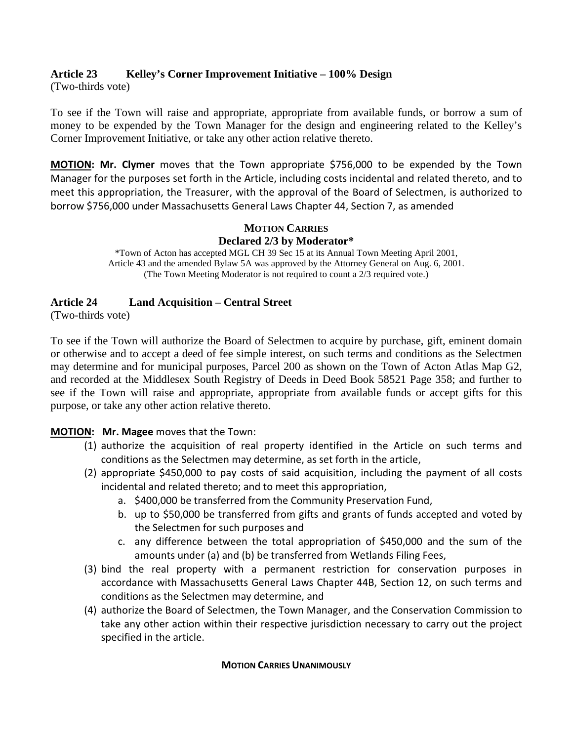## **Article 23 Kelley's Corner Improvement Initiative – 100% Design**

(Two-thirds vote)

To see if the Town will raise and appropriate, appropriate from available funds, or borrow a sum of money to be expended by the Town Manager for the design and engineering related to the Kelley's Corner Improvement Initiative, or take any other action relative thereto.

**MOTION: Mr. Clymer** moves that the Town appropriate \$756,000 to be expended by the Town Manager for the purposes set forth in the Article, including costs incidental and related thereto, and to meet this appropriation, the Treasurer, with the approval of the Board of Selectmen, is authorized to borrow \$756,000 under Massachusetts General Laws Chapter 44, Section 7, as amended

## **MOTION CARRIES Declared 2/3 by Moderator\***

\*Town of Acton has accepted MGL CH 39 Sec 15 at its Annual Town Meeting April 2001, Article 43 and the amended Bylaw 5A was approved by the Attorney General on Aug. 6, 2001. (The Town Meeting Moderator is not required to count a 2/3 required vote.)

## **Article 24 Land Acquisition – Central Street**

(Two-thirds vote)

To see if the Town will authorize the Board of Selectmen to acquire by purchase, gift, eminent domain or otherwise and to accept a deed of fee simple interest, on such terms and conditions as the Selectmen may determine and for municipal purposes, Parcel 200 as shown on the Town of Acton Atlas Map G2, and recorded at the Middlesex South Registry of Deeds in Deed Book 58521 Page 358; and further to see if the Town will raise and appropriate, appropriate from available funds or accept gifts for this purpose, or take any other action relative thereto.

## **MOTION: Mr. Magee** moves that the Town:

- (1) authorize the acquisition of real property identified in the Article on such terms and conditions as the Selectmen may determine, as set forth in the article,
- (2) appropriate \$450,000 to pay costs of said acquisition, including the payment of all costs incidental and related thereto; and to meet this appropriation,
	- a. \$400,000 be transferred from the Community Preservation Fund,
	- b. up to \$50,000 be transferred from gifts and grants of funds accepted and voted by the Selectmen for such purposes and
	- c. any difference between the total appropriation of \$450,000 and the sum of the amounts under (a) and (b) be transferred from Wetlands Filing Fees,
- (3) bind the real property with a permanent restriction for conservation purposes in accordance with Massachusetts General Laws Chapter 44B, Section 12, on such terms and conditions as the Selectmen may determine, and
- (4) authorize the Board of Selectmen, the Town Manager, and the Conservation Commission to take any other action within their respective jurisdiction necessary to carry out the project specified in the article.

#### **MOTION CARRIES UNANIMOUSLY**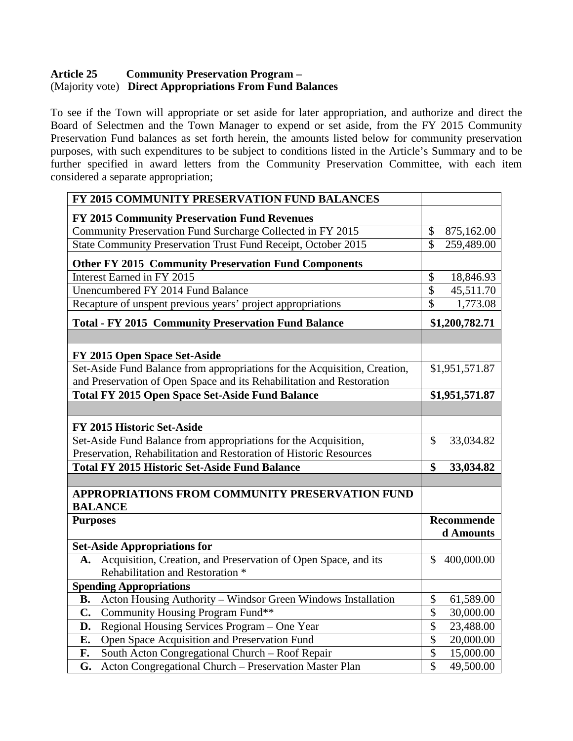## **Article 25 Community Preservation Program –** (Majority vote) **Direct Appropriations From Fund Balances**

To see if the Town will appropriate or set aside for later appropriation, and authorize and direct the Board of Selectmen and the Town Manager to expend or set aside, from the FY 2015 Community Preservation Fund balances as set forth herein, the amounts listed below for community preservation purposes, with such expenditures to be subject to conditions listed in the Article's Summary and to be further specified in award letters from the Community Preservation Committee, with each item considered a separate appropriation;

| FY 2015 COMMUNITY PRESERVATION FUND BALANCES                              |                                              |
|---------------------------------------------------------------------------|----------------------------------------------|
| FY 2015 Community Preservation Fund Revenues                              |                                              |
| Community Preservation Fund Surcharge Collected in FY 2015                | 875,162.00<br>\$                             |
| State Community Preservation Trust Fund Receipt, October 2015             | $\overline{\mathcal{S}}$<br>259,489.00       |
| <b>Other FY 2015 Community Preservation Fund Components</b>               |                                              |
| Interest Earned in FY 2015                                                | \$<br>18,846.93                              |
| Unencumbered FY 2014 Fund Balance                                         | \$<br>45,511.70                              |
| Recapture of unspent previous years' project appropriations               | $\overline{\mathbf{s}}$<br>1,773.08          |
| <b>Total - FY 2015 Community Preservation Fund Balance</b>                | \$1,200,782.71                               |
|                                                                           |                                              |
| FY 2015 Open Space Set-Aside                                              |                                              |
| Set-Aside Fund Balance from appropriations for the Acquisition, Creation, | \$1,951,571.87                               |
| and Preservation of Open Space and its Rehabilitation and Restoration     |                                              |
| <b>Total FY 2015 Open Space Set-Aside Fund Balance</b>                    | \$1,951,571.87                               |
|                                                                           |                                              |
| FY 2015 Historic Set-Aside                                                |                                              |
| Set-Aside Fund Balance from appropriations for the Acquisition,           | $\mathcal{S}$<br>33,034.82                   |
| Preservation, Rehabilitation and Restoration of Historic Resources        |                                              |
| <b>Total FY 2015 Historic Set-Aside Fund Balance</b>                      | $\boldsymbol{\hat{\mathbf{s}}}$<br>33,034.82 |
|                                                                           |                                              |
| APPROPRIATIONS FROM COMMUNITY PRESERVATION FUND<br><b>BALANCE</b>         |                                              |
| <b>Purposes</b>                                                           | <b>Recommende</b>                            |
|                                                                           | d Amounts                                    |
| <b>Set-Aside Appropriations for</b>                                       |                                              |
| Acquisition, Creation, and Preservation of Open Space, and its<br>A.      | \$<br>400,000.00                             |
| Rehabilitation and Restoration *                                          |                                              |
| <b>Spending Appropriations</b>                                            |                                              |
| Acton Housing Authority - Windsor Green Windows Installation<br><b>B.</b> | \$<br>61,589.00                              |
| C.<br>Community Housing Program Fund**                                    | \$<br>30,000.00                              |
| Regional Housing Services Program - One Year<br>D.                        | \$<br>23,488.00                              |
| E.<br>Open Space Acquisition and Preservation Fund                        | $\overline{\$}$<br>20,000.00                 |
| South Acton Congregational Church - Roof Repair<br>F.                     | $\overline{\$}$<br>15,000.00                 |
| Acton Congregational Church - Preservation Master Plan<br>G.              | $\overline{\$}$<br>49,500.00                 |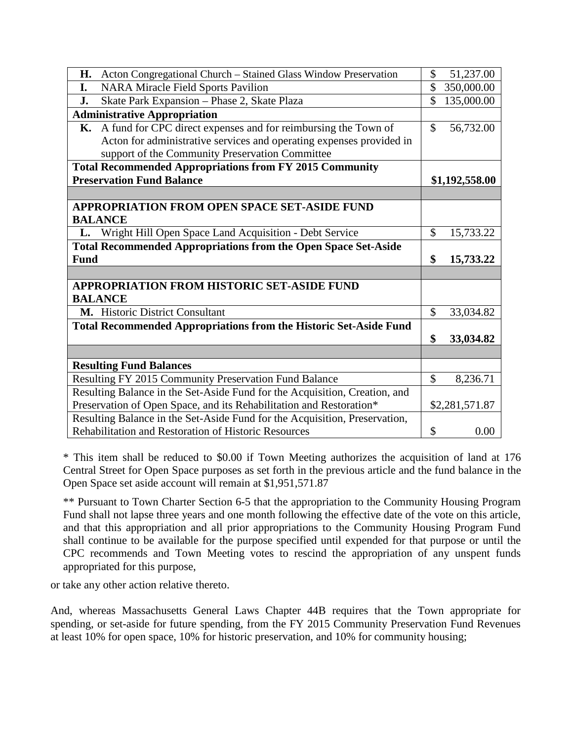| Acton Congregational Church - Stained Glass Window Preservation<br>Н.      | \$            | 51,237.00      |
|----------------------------------------------------------------------------|---------------|----------------|
| <b>NARA Miracle Field Sports Pavilion</b><br>I.                            | $\mathcal{S}$ | 350,000.00     |
| Skate Park Expansion - Phase 2, Skate Plaza<br>J.                          | \$            | 135,000.00     |
| <b>Administrative Appropriation</b>                                        |               |                |
| K. A fund for CPC direct expenses and for reimbursing the Town of          | $\mathcal{S}$ | 56,732.00      |
| Acton for administrative services and operating expenses provided in       |               |                |
| support of the Community Preservation Committee                            |               |                |
| <b>Total Recommended Appropriations from FY 2015 Community</b>             |               |                |
| <b>Preservation Fund Balance</b>                                           |               | \$1,192,558.00 |
|                                                                            |               |                |
| <b>APPROPRIATION FROM OPEN SPACE SET-ASIDE FUND</b><br><b>BALANCE</b>      |               |                |
| L. Wright Hill Open Space Land Acquisition - Debt Service                  | $\mathcal{S}$ | 15,733.22      |
| <b>Total Recommended Appropriations from the Open Space Set-Aside</b>      |               |                |
| <b>Fund</b>                                                                | \$            | 15,733.22      |
|                                                                            |               |                |
| <b>APPROPRIATION FROM HISTORIC SET-ASIDE FUND</b>                          |               |                |
| <b>BALANCE</b>                                                             |               |                |
| M. Historic District Consultant                                            | $\mathcal{S}$ | 33,034.82      |
| <b>Total Recommended Appropriations from the Historic Set-Aside Fund</b>   |               |                |
|                                                                            | \$            | 33,034.82      |
|                                                                            |               |                |
| <b>Resulting Fund Balances</b>                                             |               |                |
| Resulting FY 2015 Community Preservation Fund Balance                      | $\mathcal{S}$ | 8,236.71       |
| Resulting Balance in the Set-Aside Fund for the Acquisition, Creation, and |               |                |
| Preservation of Open Space, and its Rehabilitation and Restoration*        |               | \$2,281,571.87 |
| Resulting Balance in the Set-Aside Fund for the Acquisition, Preservation, |               |                |
| Rehabilitation and Restoration of Historic Resources                       | \$            | 0.00           |

\* This item shall be reduced to \$0.00 if Town Meeting authorizes the acquisition of land at 176 Central Street for Open Space purposes as set forth in the previous article and the fund balance in the Open Space set aside account will remain at \$1,951,571.87

\*\* Pursuant to Town Charter Section 6-5 that the appropriation to the Community Housing Program Fund shall not lapse three years and one month following the effective date of the vote on this article, and that this appropriation and all prior appropriations to the Community Housing Program Fund shall continue to be available for the purpose specified until expended for that purpose or until the CPC recommends and Town Meeting votes to rescind the appropriation of any unspent funds appropriated for this purpose,

or take any other action relative thereto.

And, whereas Massachusetts General Laws Chapter 44B requires that the Town appropriate for spending, or set-aside for future spending, from the FY 2015 Community Preservation Fund Revenues at least 10% for open space, 10% for historic preservation, and 10% for community housing;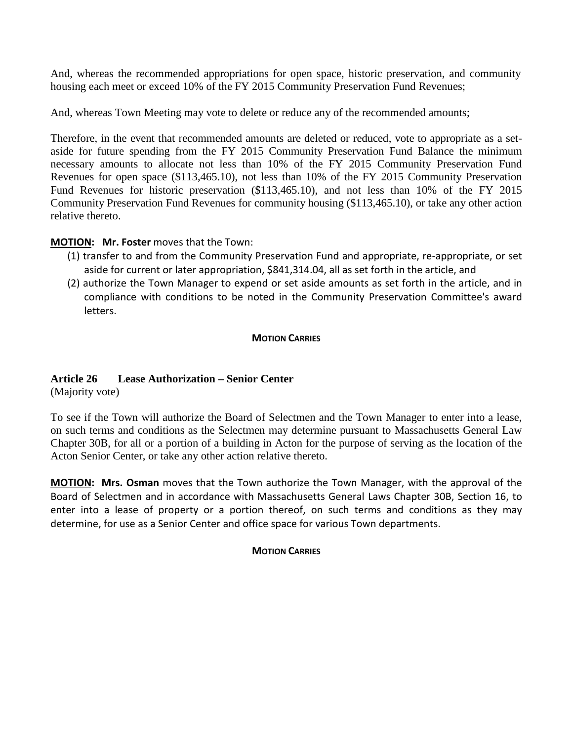And, whereas the recommended appropriations for open space, historic preservation, and community housing each meet or exceed 10% of the FY 2015 Community Preservation Fund Revenues;

And, whereas Town Meeting may vote to delete or reduce any of the recommended amounts;

Therefore, in the event that recommended amounts are deleted or reduced, vote to appropriate as a setaside for future spending from the FY 2015 Community Preservation Fund Balance the minimum necessary amounts to allocate not less than 10% of the FY 2015 Community Preservation Fund Revenues for open space (\$113,465.10), not less than 10% of the FY 2015 Community Preservation Fund Revenues for historic preservation (\$113,465.10), and not less than 10% of the FY 2015 Community Preservation Fund Revenues for community housing (\$113,465.10), or take any other action relative thereto.

### **MOTION: Mr. Foster** moves that the Town:

- (1) transfer to and from the Community Preservation Fund and appropriate, re-appropriate, or set aside for current or later appropriation, \$841,314.04, all as set forth in the article, and
- (2) authorize the Town Manager to expend or set aside amounts as set forth in the article, and in compliance with conditions to be noted in the Community Preservation Committee's award letters.

#### **MOTION CARRIES**

## **Article 26 Lease Authorization – Senior Center**

(Majority vote)

To see if the Town will authorize the Board of Selectmen and the Town Manager to enter into a lease, on such terms and conditions as the Selectmen may determine pursuant to Massachusetts General Law Chapter 30B, for all or a portion of a building in Acton for the purpose of serving as the location of the Acton Senior Center, or take any other action relative thereto.

**MOTION: Mrs. Osman** moves that the Town authorize the Town Manager, with the approval of the Board of Selectmen and in accordance with Massachusetts General Laws Chapter 30B, Section 16, to enter into a lease of property or a portion thereof, on such terms and conditions as they may determine, for use as a Senior Center and office space for various Town departments.

#### **MOTION CARRIES**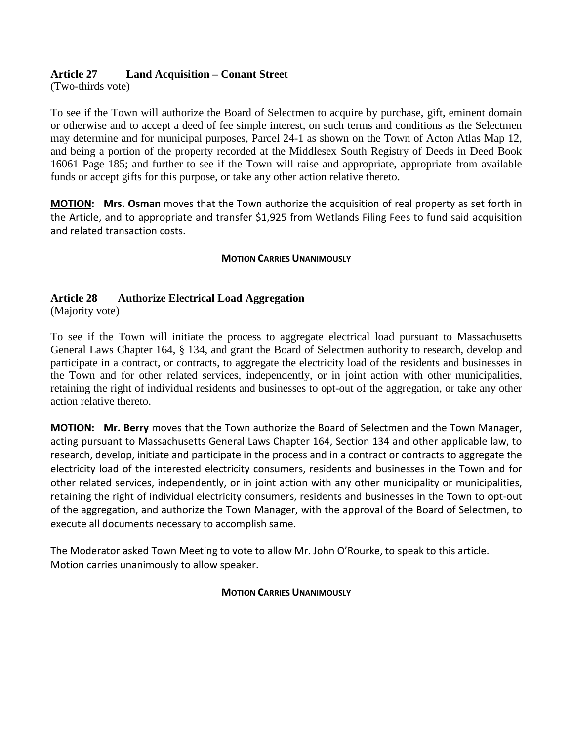## **Article 27 Land Acquisition – Conant Street**

(Two-thirds vote)

To see if the Town will authorize the Board of Selectmen to acquire by purchase, gift, eminent domain or otherwise and to accept a deed of fee simple interest, on such terms and conditions as the Selectmen may determine and for municipal purposes, Parcel 24-1 as shown on the Town of Acton Atlas Map 12, and being a portion of the property recorded at the Middlesex South Registry of Deeds in Deed Book 16061 Page 185; and further to see if the Town will raise and appropriate, appropriate from available funds or accept gifts for this purpose, or take any other action relative thereto.

**MOTION: Mrs. Osman** moves that the Town authorize the acquisition of real property as set forth in the Article, and to appropriate and transfer \$1,925 from Wetlands Filing Fees to fund said acquisition and related transaction costs.

#### **MOTION CARRIES UNANIMOUSLY**

## **Article 28 Authorize Electrical Load Aggregation**

(Majority vote)

To see if the Town will initiate the process to aggregate electrical load pursuant to Massachusetts General Laws Chapter 164, § 134, and grant the Board of Selectmen authority to research, develop and participate in a contract, or contracts, to aggregate the electricity load of the residents and businesses in the Town and for other related services, independently, or in joint action with other municipalities, retaining the right of individual residents and businesses to opt-out of the aggregation, or take any other action relative thereto.

**MOTION: Mr. Berry** moves that the Town authorize the Board of Selectmen and the Town Manager, acting pursuant to Massachusetts General Laws Chapter 164, Section 134 and other applicable law, to research, develop, initiate and participate in the process and in a contract or contracts to aggregate the electricity load of the interested electricity consumers, residents and businesses in the Town and for other related services, independently, or in joint action with any other municipality or municipalities, retaining the right of individual electricity consumers, residents and businesses in the Town to opt-out of the aggregation, and authorize the Town Manager, with the approval of the Board of Selectmen, to execute all documents necessary to accomplish same.

The Moderator asked Town Meeting to vote to allow Mr. John O'Rourke, to speak to this article. Motion carries unanimously to allow speaker.

#### **MOTION CARRIES UNANIMOUSLY**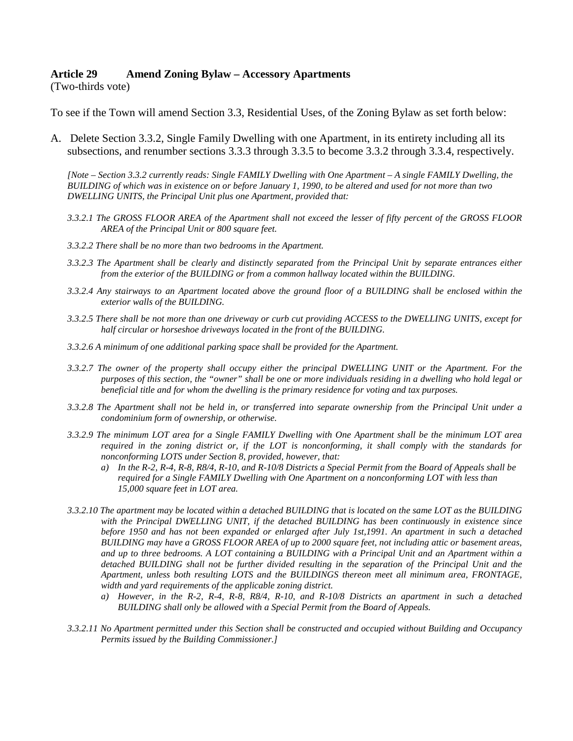#### **Article 29 Amend Zoning Bylaw – Accessory Apartments**

(Two-thirds vote)

To see if the Town will amend Section 3.3, Residential Uses, of the Zoning Bylaw as set forth below:

A. Delete Section 3.3.2, Single Family Dwelling with one Apartment, in its entirety including all its subsections, and renumber sections 3.3.3 through 3.3.5 to become 3.3.2 through 3.3.4, respectively.

*[Note – Section 3.3.2 currently reads: Single FAMILY Dwelling with One Apartment – A single FAMILY Dwelling, the BUILDING of which was in existence on or before January 1, 1990, to be altered and used for not more than two DWELLING UNITS, the Principal Unit plus one Apartment, provided that:* 

- *3.3.2.1 The GROSS FLOOR AREA of the Apartment shall not exceed the lesser of fifty percent of the GROSS FLOOR AREA of the Principal Unit or 800 square feet.*
- *3.3.2.2 There shall be no more than two bedrooms in the Apartment.*
- *3.3.2.3 The Apartment shall be clearly and distinctly separated from the Principal Unit by separate entrances either from the exterior of the BUILDING or from a common hallway located within the BUILDING.*
- *3.3.2.4 Any stairways to an Apartment located above the ground floor of a BUILDING shall be enclosed within the exterior walls of the BUILDING.*
- *3.3.2.5 There shall be not more than one driveway or curb cut providing ACCESS to the DWELLING UNITS, except for half circular or horseshoe driveways located in the front of the BUILDING.*
- *3.3.2.6 A minimum of one additional parking space shall be provided for the Apartment.*
- *3.3.2.7 The owner of the property shall occupy either the principal DWELLING UNIT or the Apartment. For the purposes of this section, the "owner" shall be one or more individuals residing in a dwelling who hold legal or beneficial title and for whom the dwelling is the primary residence for voting and tax purposes.*
- *3.3.2.8 The Apartment shall not be held in, or transferred into separate ownership from the Principal Unit under a condominium form of ownership, or otherwise.*
- *3.3.2.9 The minimum LOT area for a Single FAMILY Dwelling with One Apartment shall be the minimum LOT area required in the zoning district or, if the LOT is nonconforming, it shall comply with the standards for nonconforming LOTS under Section 8, provided, however, that:* 
	- *a) In the R-2, R-4, R-8, R8/4, R-10, and R-10/8 Districts a Special Permit from the Board of Appeals shall be required for a Single FAMILY Dwelling with One Apartment on a nonconforming LOT with less than 15,000 square feet in LOT area.*
- *3.3.2.10 The apartment may be located within a detached BUILDING that is located on the same LOT as the BUILDING with the Principal DWELLING UNIT, if the detached BUILDING has been continuously in existence since before 1950 and has not been expanded or enlarged after July 1st,1991. An apartment in such a detached BUILDING may have a GROSS FLOOR AREA of up to 2000 square feet, not including attic or basement areas, and up to three bedrooms. A LOT containing a BUILDING with a Principal Unit and an Apartment within a detached BUILDING shall not be further divided resulting in the separation of the Principal Unit and the Apartment, unless both resulting LOTS and the BUILDINGS thereon meet all minimum area, FRONTAGE, width and yard requirements of the applicable zoning district.* 
	- *a) However, in the R-2, R-4, R-8, R8/4, R-10, and R-10/8 Districts an apartment in such a detached BUILDING shall only be allowed with a Special Permit from the Board of Appeals.*
- *3.3.2.11 No Apartment permitted under this Section shall be constructed and occupied without Building and Occupancy Permits issued by the Building Commissioner.]*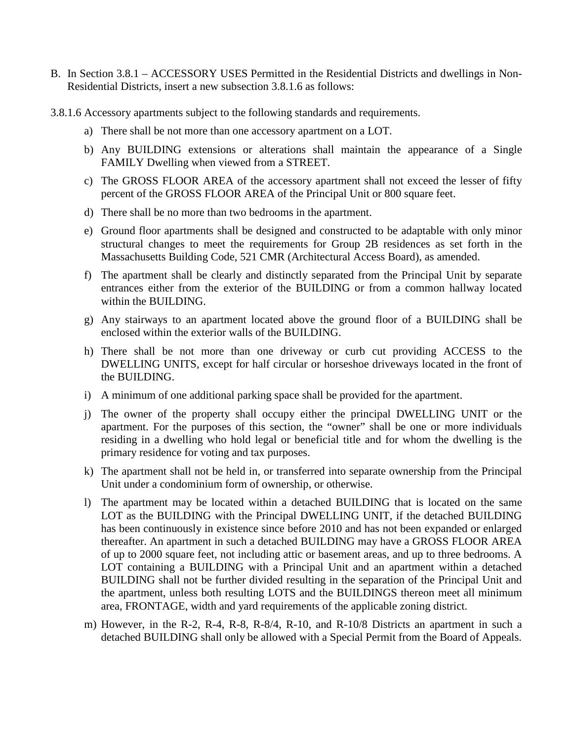- B. In Section 3.8.1 ACCESSORY USES Permitted in the Residential Districts and dwellings in Non-Residential Districts, insert a new subsection 3.8.1.6 as follows:
- 3.8.1.6 Accessory apartments subject to the following standards and requirements.
	- a) There shall be not more than one accessory apartment on a LOT.
	- b) Any BUILDING extensions or alterations shall maintain the appearance of a Single FAMILY Dwelling when viewed from a STREET.
	- c) The GROSS FLOOR AREA of the accessory apartment shall not exceed the lesser of fifty percent of the GROSS FLOOR AREA of the Principal Unit or 800 square feet.
	- d) There shall be no more than two bedrooms in the apartment.
	- e) Ground floor apartments shall be designed and constructed to be adaptable with only minor structural changes to meet the requirements for Group 2B residences as set forth in the Massachusetts Building Code, 521 CMR (Architectural Access Board), as amended.
	- f) The apartment shall be clearly and distinctly separated from the Principal Unit by separate entrances either from the exterior of the BUILDING or from a common hallway located within the BUILDING
	- g) Any stairways to an apartment located above the ground floor of a BUILDING shall be enclosed within the exterior walls of the BUILDING.
	- h) There shall be not more than one driveway or curb cut providing ACCESS to the DWELLING UNITS, except for half circular or horseshoe driveways located in the front of the BUILDING.
	- i) A minimum of one additional parking space shall be provided for the apartment.
	- j) The owner of the property shall occupy either the principal DWELLING UNIT or the apartment. For the purposes of this section, the "owner" shall be one or more individuals residing in a dwelling who hold legal or beneficial title and for whom the dwelling is the primary residence for voting and tax purposes.
	- k) The apartment shall not be held in, or transferred into separate ownership from the Principal Unit under a condominium form of ownership, or otherwise.
	- l) The apartment may be located within a detached BUILDING that is located on the same LOT as the BUILDING with the Principal DWELLING UNIT, if the detached BUILDING has been continuously in existence since before 2010 and has not been expanded or enlarged thereafter. An apartment in such a detached BUILDING may have a GROSS FLOOR AREA of up to 2000 square feet, not including attic or basement areas, and up to three bedrooms. A LOT containing a BUILDING with a Principal Unit and an apartment within a detached BUILDING shall not be further divided resulting in the separation of the Principal Unit and the apartment, unless both resulting LOTS and the BUILDINGS thereon meet all minimum area, FRONTAGE, width and yard requirements of the applicable zoning district.
	- m) However, in the R-2, R-4, R-8, R-8/4, R-10, and R-10/8 Districts an apartment in such a detached BUILDING shall only be allowed with a Special Permit from the Board of Appeals.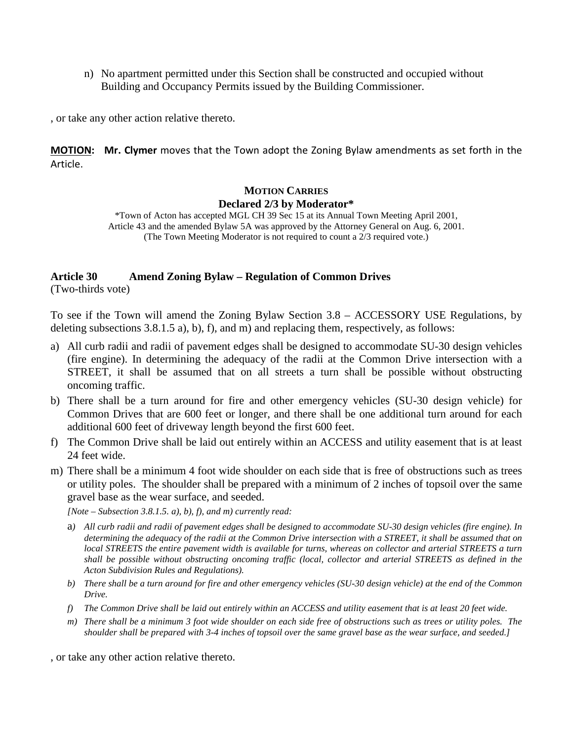n) No apartment permitted under this Section shall be constructed and occupied without Building and Occupancy Permits issued by the Building Commissioner.

, or take any other action relative thereto.

**MOTION: Mr. Clymer** moves that the Town adopt the Zoning Bylaw amendments as set forth in the Article.

## **MOTION CARRIES Declared 2/3 by Moderator\***

\*Town of Acton has accepted MGL CH 39 Sec 15 at its Annual Town Meeting April 2001, Article 43 and the amended Bylaw 5A was approved by the Attorney General on Aug. 6, 2001. (The Town Meeting Moderator is not required to count a 2/3 required vote.)

## **Article 30 Amend Zoning Bylaw – Regulation of Common Drives**

(Two-thirds vote)

To see if the Town will amend the Zoning Bylaw Section 3.8 – ACCESSORY USE Regulations, by deleting subsections  $3.8.1.5$  a), b), f), and m) and replacing them, respectively, as follows:

- a) All curb radii and radii of pavement edges shall be designed to accommodate SU-30 design vehicles (fire engine). In determining the adequacy of the radii at the Common Drive intersection with a STREET, it shall be assumed that on all streets a turn shall be possible without obstructing oncoming traffic.
- b) There shall be a turn around for fire and other emergency vehicles (SU-30 design vehicle) for Common Drives that are 600 feet or longer, and there shall be one additional turn around for each additional 600 feet of driveway length beyond the first 600 feet.
- f) The Common Drive shall be laid out entirely within an ACCESS and utility easement that is at least 24 feet wide.
- m) There shall be a minimum 4 foot wide shoulder on each side that is free of obstructions such as trees or utility poles. The shoulder shall be prepared with a minimum of 2 inches of topsoil over the same gravel base as the wear surface, and seeded.

*[Note – Subsection 3.8.1.5. a), b), f), and m) currently read:*

- a*) All curb radii and radii of pavement edges shall be designed to accommodate SU-30 design vehicles (fire engine). In determining the adequacy of the radii at the Common Drive intersection with a STREET, it shall be assumed that on local STREETS the entire pavement width is available for turns, whereas on collector and arterial STREETS a turn shall be possible without obstructing oncoming traffic (local, collector and arterial STREETS as defined in the Acton Subdivision Rules and Regulations).*
- *b) There shall be a turn around for fire and other emergency vehicles (SU-30 design vehicle) at the end of the Common Drive.*
- *f) The Common Drive shall be laid out entirely within an ACCESS and utility easement that is at least 20 feet wide.*
- *m) There shall be a minimum 3 foot wide shoulder on each side free of obstructions such as trees or utility poles. The shoulder shall be prepared with 3-4 inches of topsoil over the same gravel base as the wear surface, and seeded.]*

, or take any other action relative thereto.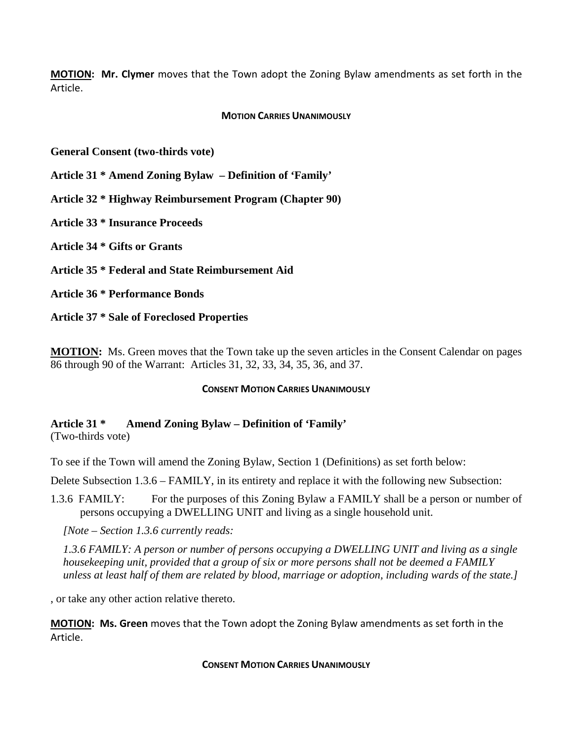**MOTION: Mr. Clymer** moves that the Town adopt the Zoning Bylaw amendments as set forth in the Article.

#### **MOTION CARRIES UNANIMOUSLY**

**General Consent (two-thirds vote)**

**Article 31 \* Amend Zoning Bylaw – Definition of 'Family'**

**Article 32 \* Highway Reimbursement Program (Chapter 90)**

**Article 33 \* Insurance Proceeds**

**Article 34 \* Gifts or Grants**

**Article 35 \* Federal and State Reimbursement Aid**

**Article 36 \* Performance Bonds**

**Article 37 \* Sale of Foreclosed Properties**

**MOTION:** Ms. Green moves that the Town take up the seven articles in the Consent Calendar on pages 86 through 90 of the Warrant: Articles 31, 32, 33, 34, 35, 36, and 37.

#### **CONSENT MOTION CARRIES UNANIMOUSLY**

## **Article 31 \* Amend Zoning Bylaw – Definition of 'Family'**

(Two-thirds vote)

To see if the Town will amend the Zoning Bylaw, Section 1 (Definitions) as set forth below:

Delete Subsection 1.3.6 – FAMILY, in its entirety and replace it with the following new Subsection:

1.3.6 FAMILY: For the purposes of this Zoning Bylaw a FAMILY shall be a person or number of persons occupying a DWELLING UNIT and living as a single household unit.

*[Note – Section 1.3.6 currently reads:*

*1.3.6 FAMILY: A person or number of persons occupying a DWELLING UNIT and living as a single housekeeping unit, provided that a group of six or more persons shall not be deemed a FAMILY unless at least half of them are related by blood, marriage or adoption, including wards of the state.]*

, or take any other action relative thereto.

**MOTION: Ms. Green** moves that the Town adopt the Zoning Bylaw amendments as set forth in the Article.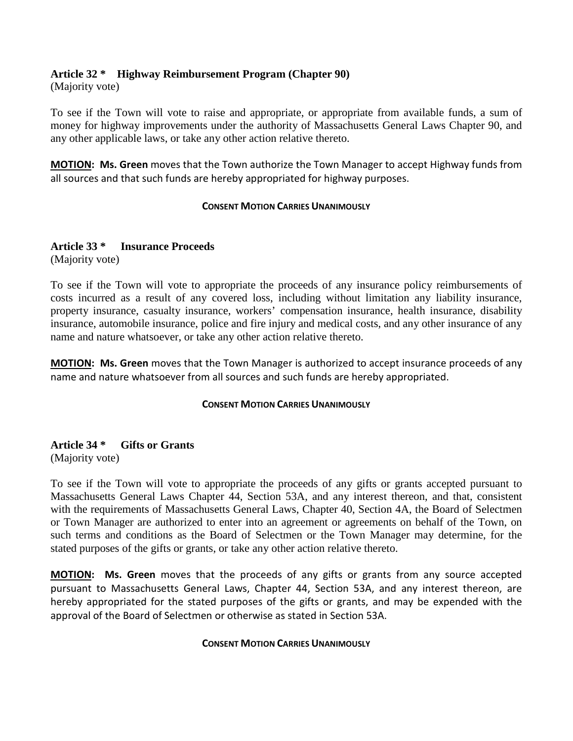## **Article 32 \* Highway Reimbursement Program (Chapter 90)**

(Majority vote)

To see if the Town will vote to raise and appropriate, or appropriate from available funds, a sum of money for highway improvements under the authority of Massachusetts General Laws Chapter 90, and any other applicable laws, or take any other action relative thereto.

**MOTION: Ms. Green** moves that the Town authorize the Town Manager to accept Highway funds from all sources and that such funds are hereby appropriated for highway purposes.

#### **CONSENT MOTION CARRIES UNANIMOUSLY**

#### **Article 33 \* Insurance Proceeds**

(Majority vote)

To see if the Town will vote to appropriate the proceeds of any insurance policy reimbursements of costs incurred as a result of any covered loss, including without limitation any liability insurance, property insurance, casualty insurance, workers' compensation insurance, health insurance, disability insurance, automobile insurance, police and fire injury and medical costs, and any other insurance of any name and nature whatsoever, or take any other action relative thereto.

**MOTION: Ms. Green** moves that the Town Manager is authorized to accept insurance proceeds of any name and nature whatsoever from all sources and such funds are hereby appropriated.

#### **CONSENT MOTION CARRIES UNANIMOUSLY**

**Article 34 \* Gifts or Grants** (Majority vote)

To see if the Town will vote to appropriate the proceeds of any gifts or grants accepted pursuant to Massachusetts General Laws Chapter 44, Section 53A, and any interest thereon, and that, consistent with the requirements of Massachusetts General Laws, Chapter 40, Section 4A, the Board of Selectmen or Town Manager are authorized to enter into an agreement or agreements on behalf of the Town, on such terms and conditions as the Board of Selectmen or the Town Manager may determine, for the stated purposes of the gifts or grants, or take any other action relative thereto.

**MOTION: Ms. Green** moves that the proceeds of any gifts or grants from any source accepted pursuant to Massachusetts General Laws, Chapter 44, Section 53A, and any interest thereon, are hereby appropriated for the stated purposes of the gifts or grants, and may be expended with the approval of the Board of Selectmen or otherwise as stated in Section 53A.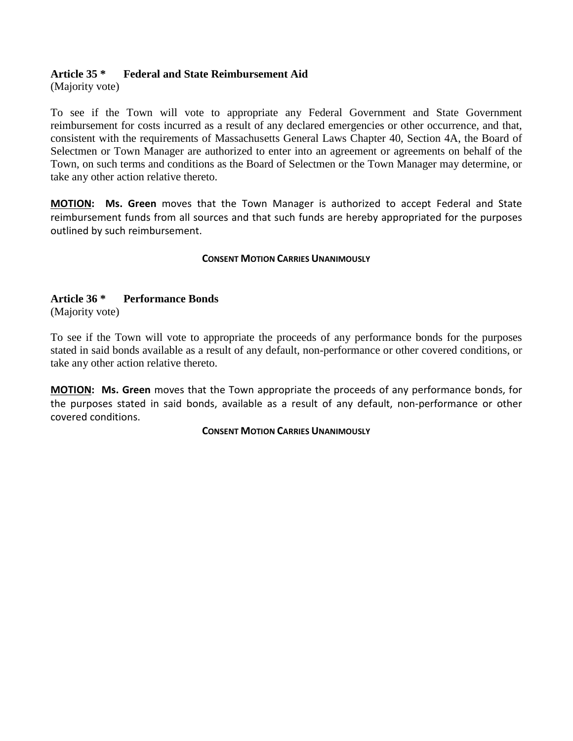## **Article 35 \* Federal and State Reimbursement Aid**

(Majority vote)

To see if the Town will vote to appropriate any Federal Government and State Government reimbursement for costs incurred as a result of any declared emergencies or other occurrence, and that, consistent with the requirements of Massachusetts General Laws Chapter 40, Section 4A, the Board of Selectmen or Town Manager are authorized to enter into an agreement or agreements on behalf of the Town, on such terms and conditions as the Board of Selectmen or the Town Manager may determine, or take any other action relative thereto.

**MOTION: Ms. Green** moves that the Town Manager is authorized to accept Federal and State reimbursement funds from all sources and that such funds are hereby appropriated for the purposes outlined by such reimbursement.

#### **CONSENT MOTION CARRIES UNANIMOUSLY**

## **Article 36 \* Performance Bonds**

(Majority vote)

To see if the Town will vote to appropriate the proceeds of any performance bonds for the purposes stated in said bonds available as a result of any default, non-performance or other covered conditions, or take any other action relative thereto.

**MOTION: Ms. Green** moves that the Town appropriate the proceeds of any performance bonds, for the purposes stated in said bonds, available as a result of any default, non-performance or other covered conditions.